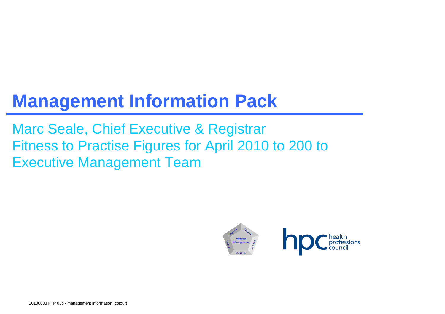# **Management Information Pack**

Marc Seale, Chief Executive & Registrar Fitness to Practise Figures for April 2010 to 200 to Executive Management Team

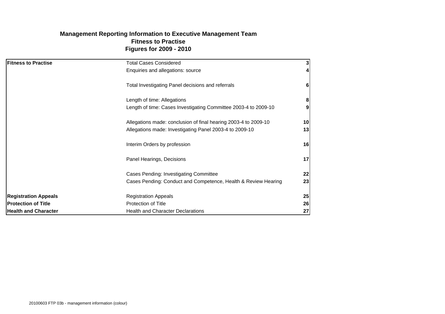# **Figures for 2009 - 2010 Management Reporting Information to Executive Management Team Fitness to Practise**

| <b>Fitness to Practise</b>  | <b>Total Cases Considered</b>                                   | 3 <sup>1</sup> |
|-----------------------------|-----------------------------------------------------------------|----------------|
|                             | Enquiries and allegations: source                               | 41             |
|                             | Total Investigating Panel decisions and referrals               | 6              |
|                             | Length of time: Allegations                                     | 8              |
|                             | Length of time: Cases Investigating Committee 2003-4 to 2009-10 | 9 <sub>l</sub> |
|                             | Allegations made: conclusion of final hearing 2003-4 to 2009-10 | 10             |
|                             | Allegations made: Investigating Panel 2003-4 to 2009-10         | 13             |
|                             | Interim Orders by profession                                    | 16             |
|                             | Panel Hearings, Decisions                                       | 17             |
|                             | Cases Pending: Investigating Committee                          | 22             |
|                             | Cases Pending: Conduct and Competence, Health & Review Hearing  | 23             |
| <b>Registration Appeals</b> | <b>Registration Appeals</b>                                     | 25             |
| <b>Protection of Title</b>  | <b>Protection of Title</b>                                      | 26             |
| <b>Health and Character</b> | <b>Health and Character Declarations</b>                        | 27             |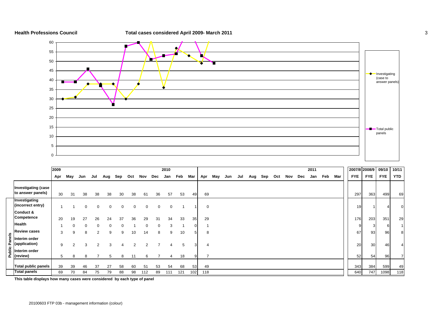

# **Health Professions Council Total cases considered April 2009- March 2011** 3



|        |                                                                                                                     | 2009 |          |     |     |     |     |                |          |     | 2010        |     |     |                |     |     |     |     |     |     |     |     | 2011 |     |     |            | 2007/8 2008/9 | 09/10      | 10/11      |
|--------|---------------------------------------------------------------------------------------------------------------------|------|----------|-----|-----|-----|-----|----------------|----------|-----|-------------|-----|-----|----------------|-----|-----|-----|-----|-----|-----|-----|-----|------|-----|-----|------------|---------------|------------|------------|
|        |                                                                                                                     | Apr  | May      | Jun | Jul | Aug | Sep | Oct            | Nov      | Dec | Jan         | Feb | Mar | Apr            | May | Jun | Jul | Aug | Sep | Oct | Nov | Dec | Jan  | Feb | Mar | <b>FYE</b> | <b>FYE</b>    | <b>FYE</b> | <b>YTD</b> |
|        | <b>Investigating (case</b><br>to answer panels)                                                                     | 30   | 31       | 38  | 38  | 38  | 30  | 38             | 61       | 36  | 57          | 53  | 49  | 69             |     |     |     |     |     |     |     |     |      |     |     | 297        | 363           | 499        | 69         |
|        | Investigating<br>(incorrect entry)                                                                                  |      |          | 0   | 0   | 0   | 0   | 0              | $\Omega$ | 0   | $\mathbf 0$ |     |     | $\overline{0}$ |     |     |     |     |     |     |     |     |      |     |     | 19         |               |            | 01         |
|        | Conduct &<br>Competence                                                                                             | 20   | 19       | 27  | 26  | 24  | 37  | 36             | 29       | 31  | 34          | 33  | 35  | 29             |     |     |     |     |     |     |     |     |      |     |     | 176        | 203           | 351        | 29         |
|        | <b>Health</b>                                                                                                       |      | $\Omega$ |     |     | 0   | O   |                |          |     | 3           |     | ი   |                |     |     |     |     |     |     |     |     |      |     |     | 9.         |               | 6          |            |
|        | <b>Review cases</b>                                                                                                 | 3    | 9        | 8   | 2   | 9   | 9   | 10             | 14       | 8   | 9           | 10  | 5   | 8              |     |     |     |     |     |     |     |     |      |     |     | 67         | 93            | 96         | 8          |
| Panels | Interim order<br>(application)                                                                                      | 9    | 2        | 3   | 2   | 3   | 4   | $\overline{2}$ | 2        |     | 4           | 5   | 3   | 4              |     |     |     |     |     |     |     |     |      |     |     | 20         | 30            | 46         |            |
|        | $\begin{array}{c}\n\frac{1}{2} \\ \frac{1}{2} \\ \frac{1}{2} \\ \frac{1}{2}\n\end{array}$ [review)<br>Interim order | 5    | 8        | 8   |     | 5   | 8   | 11             | 6        |     | 4           | 18  |     |                |     |     |     |     |     |     |     |     |      |     |     | 52         | 54            | 96         |            |
|        | <b>Total public panels</b>                                                                                          | 39   | 39       | 46  | 37  | 27  | 58  | 60             | 51       | 53  | 54          | 68  | 53  | 49             |     |     |     |     |     |     |     |     |      |     |     | 343        | 384           | 599        | 49         |
|        | <b>Total panels</b>                                                                                                 | 69   | 70       | 84  | 75  | 79  | 88  | 98             | 112      | 89  | 111         | 121 | 102 | 118            |     |     |     |     |     |     |     |     |      |     |     | 640        | 747           | 1098       | 118        |

**This table displays how many cases were considered by each type of panel**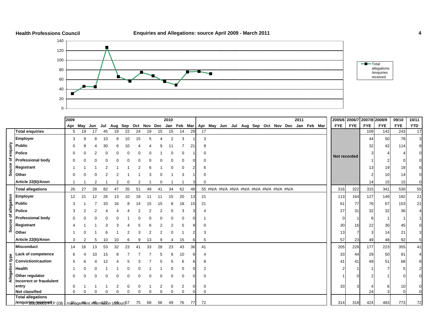





|                 |                                                               | 2009     |          |     |     |               |          |          |          |        | 2010   |                               |    |    |                                                                       |  |  |  | 2011 |             |            | 2005/6 2006/7 2007/8 2008/9 |            |            | 09/10      | 10/11                            |
|-----------------|---------------------------------------------------------------|----------|----------|-----|-----|---------------|----------|----------|----------|--------|--------|-------------------------------|----|----|-----------------------------------------------------------------------|--|--|--|------|-------------|------------|-----------------------------|------------|------------|------------|----------------------------------|
|                 |                                                               | Apr      | May      | Jun | Jul |               |          |          |          |        |        |                               |    |    | Aug Sep Oct Nov Dec Jan Feb Mar   Apr May Jun Jul Aug Sep Oct Nov Dec |  |  |  |      | Jan Feb Mar | <b>FYE</b> | <b>FYE</b>                  | <b>FYE</b> | <b>FYE</b> | <b>FYE</b> | <b>YTD</b>                       |
|                 | <b>Total enquiries</b>                                        | 5        | 19       | 17  | 45  | 19            | 22       | 24       | 19       | 15     | 15     | 14                            | 29 | 17 |                                                                       |  |  |  |      |             |            |                             | 109        | 142        | 243        | 17                               |
|                 | <b>Employer</b>                                               |          |          |     | 10  |               | 10       | 15       |          |        | 2      | 3                             |    |    | 3                                                                     |  |  |  |      |             |            |                             | 44         | 50         | 78         | $\mathbf{3}$                     |
|                 | <b>Public</b>                                                 |          |          |     |     |               |          |          |          |        |        |                               | 2٠ |    | 8                                                                     |  |  |  |      |             |            |                             | 32         | 42         | 114        | 8                                |
| enquiry         | <b>Police</b>                                                 |          |          |     |     |               |          |          |          |        |        |                               |    |    | 0                                                                     |  |  |  |      |             |            |                             |            |            |            | $\Omega$                         |
| đ               | <b>Professional body</b>                                      |          |          |     |     |               |          |          |          |        |        |                               |    |    |                                                                       |  |  |  |      |             |            | Not recorded                |            |            |            | $\Omega$                         |
|                 | Registrant                                                    |          |          |     |     |               |          |          |          |        |        |                               |    |    |                                                                       |  |  |  |      |             |            |                             | 13         | 19         |            | 6                                |
| Source          | Other                                                         |          |          |     |     |               |          |          |          |        |        |                               |    |    |                                                                       |  |  |  |      |             |            |                             |            | 10         | 14         | $\overline{0}$                   |
|                 | Article 22(6)/Anon                                            |          |          |     |     |               |          |          |          |        |        |                               |    |    | $\Omega$                                                              |  |  |  |      |             |            |                             | 14         | 15         | 15         | $\overline{0}$                   |
|                 | <b>Total allegations</b>                                      | 26       | 27       | 28  | 82  | 47            | 35       | 51       | 49       | 41     | 34     | 62                            | 48 |    |                                                                       |  |  |  |      |             | 316        | 322                         | 315        | 341        | 530        | 55                               |
|                 | <b>Employer</b>                                               | 12       | 21       | 12  | 26  | 13            | 10       | 18       | 11       |        | 15     | 20                            | 13 | 21 |                                                                       |  |  |  |      |             | 113        | 164                         | 127        | 149        | 182        | 21                               |
|                 | <b>Public</b>                                                 | 3        |          |     | 33  | 16            |          |          | 15       |        |        | 18                            | 15 | 21 |                                                                       |  |  |  |      |             |            | 77<br>61                    | 76         | 67         | 153        | 21                               |
| of allegation   | <b>Police</b>                                                 |          |          |     |     |               |          |          |          |        |        | 3                             |    |    |                                                                       |  |  |  |      |             |            | 27<br>31                    | 32         | 32         | 36         | $\overline{4}$                   |
|                 | <b>Professional body</b>                                      |          |          |     |     |               |          |          |          |        |        |                               |    |    |                                                                       |  |  |  |      |             |            |                             | 6          |            |            | $\mathbf{1}$                     |
| Source          | Registrant                                                    |          |          |     |     |               |          |          |          |        |        |                               |    |    |                                                                       |  |  |  |      |             |            | 30<br>16                    | 22         | 30         | 45         | $\mathbf 0$                      |
|                 | Other                                                         |          |          |     |     |               |          |          |          |        |        |                               |    |    |                                                                       |  |  |  |      |             |            | 13                          |            | 14         | 21         | 3                                |
|                 | Article 22(6)/Anon                                            | 3        |          |     |     | 10            |          |          | 13       |        | 4      | 15                            | h  |    | 5                                                                     |  |  |  |      |             |            | 57<br>23                    | 49         | 48         | 92         | $5\overline{)}$                  |
|                 | <b>Misconduct</b>                                             | 14       | 16       | 13  | 53  | 32            | 23       |          | 33       | 28     | 23     | 43                            | 36 | 41 |                                                                       |  |  |  |      |             | 205        | 228                         | 177        | 223        | 355        | 41                               |
|                 | <b>Lack of competence</b>                                     | 6        |          |     | 15  |               |          |          |          |        |        | 10                            |    |    |                                                                       |  |  |  |      |             |            | 33<br>44                    | 29         | 50         | 91         | $\overline{4}$                   |
|                 | <b>Conviction/caution</b>                                     |          |          |     |     |               |          |          |          |        |        |                               |    |    |                                                                       |  |  |  |      |             |            | 41<br>41                    | 49         | 51         | 68         | 8                                |
|                 | <b>Health</b>                                                 |          |          |     |     |               |          |          |          |        |        |                               |    |    |                                                                       |  |  |  |      |             |            |                             |            |            |            | $\overline{a}$                   |
| Allegation type | Other regulator                                               |          |          |     |     |               |          |          |          |        |        | 0                             |    |    | $\Omega$                                                              |  |  |  |      |             |            |                             |            |            |            | $\Omega$                         |
|                 | <b>Incorrect or fraudulent</b>                                |          |          |     |     |               |          |          |          |        |        |                               |    |    |                                                                       |  |  |  |      |             |            |                             |            |            |            |                                  |
|                 | entry<br><b>Not classified</b>                                | $\Omega$ | $\Omega$ |     |     | 2<br>$\Omega$ | $\Omega$ | $\Omega$ | $\Omega$ | 2<br>0 | 0<br>0 | $\overline{2}$<br>$\mathbf 0$ |    |    | 0<br>$\Omega$                                                         |  |  |  |      |             |            | 33                          | 24         | 6          | 10         | $\overline{0}$<br>$\overline{0}$ |
|                 | <b>Total allegations</b>                                      |          |          |     |     |               |          |          |          |        |        |                               |    |    |                                                                       |  |  |  |      |             |            |                             |            |            |            |                                  |
|                 | /enquirines received P 03b managed fent idformation (600ur)57 |          |          |     |     |               |          | 75       | 68       | 56     | 49     | 76                            | 77 | 72 |                                                                       |  |  |  |      |             |            | 318<br>314                  | 424        | 483        | 773        | 72                               |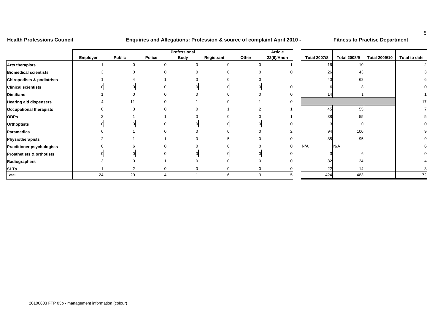# **Health Professions Council Enquiries and Allegations: Profession & source of complaint April 2010 - Fitness to Practise Department**

|                                       |          |                |               | Professional |            |       | Article     |                     |                     |                      |               |
|---------------------------------------|----------|----------------|---------------|--------------|------------|-------|-------------|---------------------|---------------------|----------------------|---------------|
|                                       | Employer | <b>Public</b>  | <b>Police</b> | <b>Body</b>  | Registrant | Other | 22(6)/Anon  | <b>Total 2007/8</b> | <b>Total 2008/9</b> | <b>Total 2009/10</b> | Total to date |
| <b>Arts therapists</b>                |          | $\Omega$       | <sup>0</sup>  |              | 0          |       |             | 16                  |                     |                      |               |
| <b>Biomedical scientists</b>          |          |                |               |              | 0          |       |             | 26                  |                     |                      |               |
| <b>Chiropodists &amp; podiatrists</b> |          |                |               |              |            |       |             | 40                  | 62                  |                      |               |
| <b>Clinical scientists</b>            |          |                |               |              |            |       | $\Omega$    |                     |                     |                      |               |
| <b>Dietitians</b>                     |          |                |               |              |            |       |             | 14                  |                     |                      |               |
| <b>Hearing aid dispensers</b>         |          |                |               |              | ი          |       |             |                     |                     |                      | 17            |
| <b>Occupational therapists</b>        |          |                |               |              |            |       |             | 45                  | 55                  |                      |               |
| <b>ODPs</b>                           |          |                |               |              |            |       |             | 38                  | 55                  |                      |               |
| <b>Orthoptists</b>                    |          |                |               |              |            |       |             |                     |                     |                      |               |
| <b>Paramedics</b>                     |          |                |               |              |            |       |             | 94                  | 100                 |                      |               |
| Physiotherapists                      |          |                |               |              | 5          |       |             | 85                  | 95                  |                      |               |
| <b>Practitioner psychologists</b>     |          |                |               |              |            |       | $\mathbf 0$ | N/A                 | N/A                 |                      |               |
| <b>Prosthetists &amp; orthotists</b>  |          |                |               |              |            |       |             |                     |                     |                      |               |
| Radiographers                         |          |                |               |              |            |       |             | 32                  | 34                  |                      |               |
| <b>SLTs</b>                           |          | $\overline{2}$ | 0             |              | 0          |       |             | 22                  |                     |                      |               |
| Total                                 | 24       | 29             | 4             |              | 6          | 3     |             | 424                 | 483                 |                      | 72            |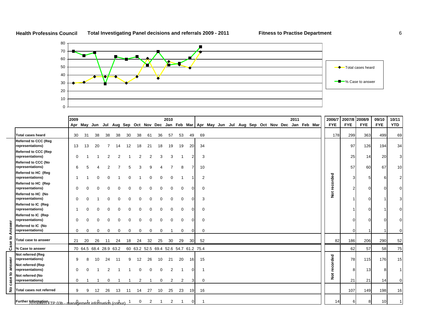

ц.







|    |                                                                 | 2009     |          |                        |          |          |          |                                       |          |             | 2010           |                |                 |    |                                                                                                   |  |  |  | 2011 |  | 2006/7               | 2007/8     | 2008/9     | 09/10      | 10/11          |
|----|-----------------------------------------------------------------|----------|----------|------------------------|----------|----------|----------|---------------------------------------|----------|-------------|----------------|----------------|-----------------|----|---------------------------------------------------------------------------------------------------|--|--|--|------|--|----------------------|------------|------------|------------|----------------|
|    |                                                                 |          |          |                        |          |          |          |                                       |          |             |                |                |                 |    | Apr May Jun Jul Aug Sep Oct Nov Dec Jan Feb Mar   Apr May Jun Jul Aug Sep Oct Nov Dec Jan Feb Mar |  |  |  |      |  | <b>FYE</b>           | <b>FYE</b> | <b>FYE</b> | <b>FYE</b> | <b>YTD</b>     |
|    | <b>Total cases heard</b>                                        | 30       | 31       | 38                     | 38       | 38       | 30       | 38                                    | 61       | 36          | 57             | 53             | 49              | 69 |                                                                                                   |  |  |  |      |  | 178                  | 299        | 363        | 499        | 69             |
|    | <b>Referred to CCC (Reg</b><br>representations)                 | 13       | 13       | 20                     |          | 14       | 12       | 18                                    | 21       | 18          | 19             | 19             | 20              | 34 |                                                                                                   |  |  |  |      |  |                      | 97         | 126        | 194        | 34             |
|    | <b>Referred to CCC (Rep</b><br>representations)                 | $\Omega$ |          |                        | 2        |          |          |                                       |          | 3           | 3              |                |                 |    | 3                                                                                                 |  |  |  |      |  |                      | 25         | 14         | 20         | 3 <sup>1</sup> |
|    | <b>Referred to CCC (No</b><br>representations)                  | 6        | 5        |                        |          |          |          |                                       |          |             |                | 8              |                 | 10 |                                                                                                   |  |  |  |      |  |                      | 57         | 60         | 67         | 10             |
|    | Referred to HC (Reg<br>representations)                         |          |          |                        |          |          |          |                                       |          |             | $\Omega$       |                |                 |    | $\overline{2}$                                                                                    |  |  |  |      |  |                      | 3          | 5          |            | $\mathbf{2}$   |
|    | Referred to HC (Rep<br>representations)                         | $\Omega$ |          |                        |          |          |          |                                       |          | $\cap$      | $\Omega$       | $\Omega$       |                 |    | 0                                                                                                 |  |  |  |      |  | recorded             | 2          | $\Omega$   |            | $\Omega$       |
|    | Referred to HC (No<br>representations)                          | $\Omega$ | ſ        |                        | C        | n        |          |                                       | $\cap$   | $\Omega$    | $\Omega$       | $\Omega$       |                 |    | 3                                                                                                 |  |  |  |      |  | ă                    |            | ∩          |            | 3              |
|    | Referred to IC (Reg<br>representations)                         |          |          |                        |          |          |          |                                       |          | $\Omega$    | $\Omega$       | $\Omega$       | n               |    | $\mathbf 0$                                                                                       |  |  |  |      |  |                      |            |            |            | 0              |
| g  | Referred to IC (Rep<br>representations)                         | $\Omega$ |          |                        |          |          |          |                                       |          | $\Omega$    | $\Omega$       | $\Omega$       | n               |    | $\mathbf 0$                                                                                       |  |  |  |      |  |                      |            |            |            | o              |
| ą  | Referred to IC (No<br>representations)                          | 0        | 0        | $\Omega$               | $\Omega$ | $\Omega$ | $\Omega$ | 0                                     | 0        | $\Omega$    |                | 0              | $\Omega$        |    | 0                                                                                                 |  |  |  |      |  |                      | $\Omega$   |            |            | 0              |
| ٥  | <b>Total case to answer</b>                                     | 21       | 20       | 26                     | 11       | 24       | 18       | 24                                    | 32       | 25          | 30             | 29             | 30 <sup>l</sup> | 52 |                                                                                                   |  |  |  |      |  | 82                   | 186        | 206        | 290        | 52             |
| යී | % Case to answer                                                |          |          | 70 64.5 68.4 28.9 63.2 |          |          |          | 60 63.2 52.5 69.4 52.6 54.7 61.2 75.4 |          |             |                |                |                 |    |                                                                                                   |  |  |  |      |  |                      | 62         | 57         | 58         | 75             |
| ō  | Not referred (Reg<br>representations)                           | 9        | 8        | 10                     | 24       | -11      | 9        | 12                                    | 26       | 10          | 21             | 20             | 16              | 15 |                                                                                                   |  |  |  |      |  |                      | 78         | 115        | 176        | 15             |
| ш  | Not referred (Rep<br>representations)                           | $\Omega$ | $\Omega$ |                        | 2        |          |          | $\Omega$                              | $\Omega$ | $\Omega$    | $\overline{2}$ |                | U               | -1 |                                                                                                   |  |  |  |      |  | recorded             | 8          | 13         |            |                |
| 3  | Not referred (No<br>representations)                            | 0        |          |                        | $\Omega$ |          |          | $\overline{2}$                        |          | $\mathbf 0$ | 2              | $\overline{2}$ | 3               |    | $\mathbf 0$                                                                                       |  |  |  |      |  | $\breve{\mathbf{z}}$ | 21         | 21         | 14         | $\overline{0}$ |
| ş  | <b>Total cases not referred</b>                                 | 9        | 9        | 12                     | 26       | 13       | 11       | 14                                    | 27       | 10          | 25             | 23             | 19              | 16 |                                                                                                   |  |  |  |      |  |                      | 107        | 149        | 198        | 16             |
|    | Further Information FTP 03b - management information (colour) 1 |          |          |                        |          |          |          | $\overline{0}$                        | 2        |             | 2              |                | $\mathbf 0$     |    |                                                                                                   |  |  |  |      |  | 14                   | 6          | 8          | 10         |                |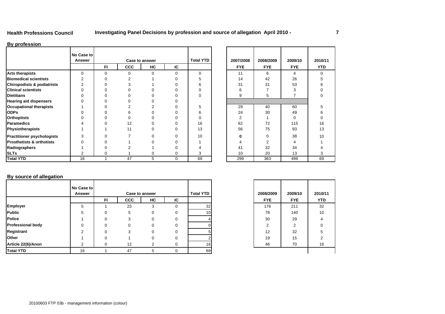### **Health Professions Council**

# **Investigating Panel Decisions by profession and source of allegation April 2010 - 7**

### **By profession**

|                                      | No Case to<br>Answer |           |            | Case to answer |             | <b>Total YTD</b> | 2007/2008  | 2008/2009  | 2009/10    | 2010/      |
|--------------------------------------|----------------------|-----------|------------|----------------|-------------|------------------|------------|------------|------------|------------|
|                                      |                      | <b>FI</b> | <b>CCC</b> | HC             | IC          |                  | <b>FYE</b> | <b>FYE</b> | <b>FYE</b> | <b>YTD</b> |
| <b>Arts therapists</b>               | $\Omega$             | ∩         |            |                | $\Omega$    | $\Omega$         | 11         | 6          | 4          | 0          |
| <b>Biomedical scientists</b>         |                      |           |            |                |             |                  | 14         | 42         | 26         |            |
| Chiropodists & podiatrists           |                      |           |            |                |             |                  | 31         | 31         | 53         | 6          |
| <b>Clinical scientists</b>           |                      |           |            |                |             |                  |            |            |            |            |
| <b>Dietitians</b>                    |                      |           |            |                |             | 0                |            | 5          |            | 0          |
| <b>Hearing aid dispensers</b>        |                      |           |            |                |             |                  |            |            |            |            |
| <b>Occupational therapists</b>       |                      |           |            |                |             |                  | 29         | 40         | 60         |            |
| <b>ODPs</b>                          |                      |           |            |                |             |                  | 24         | 30         | 49         |            |
| <b>Orthoptists</b>                   |                      |           |            |                |             |                  |            |            | 0          |            |
| Paramedics                           |                      |           | 12         |                |             | 16               | 62         | 72         | 115        | 16         |
| Physiotherapists                     |                      |           | 11         |                |             | 13               | 56         | 75         | 93         | 13         |
| <b>Practitioner psychologists</b>    |                      |           |            |                |             | 10               |            | 0          | 38         | 10         |
| <b>Prosthetists &amp; orthotists</b> |                      |           |            |                |             |                  |            | 2          | 4          |            |
| Radiographers                        |                      |           |            |                |             |                  | 41         | 32         | 34         |            |
| <b>SLTs</b>                          |                      |           |            |                | 0           | 3                | 10         | 20         | 13         | 3          |
| <b>Total YTD</b>                     | 16                   |           | 47         | 5              | $\mathbf 0$ | 69               | 299        | 363        | 499        | 69         |

| D | 2007/2008<br><b>FYE</b> | 2008/2009<br><b>FYE</b> | 2009/10<br><b>FYE</b> | 2010/11<br><b>YTD</b> |
|---|-------------------------|-------------------------|-----------------------|-----------------------|
|   | 11                      | 6                       | 4                     | 0                     |
|   | 14                      | 42                      | 26                    | 5                     |
|   | 31                      | 31                      | 53                    | 6                     |
|   | 6                       | 7                       | 3                     | $\mathbf 0$           |
|   | 9                       | 5                       | $\overline{7}$        | 0                     |
|   |                         |                         |                       |                       |
|   | 29                      | 40                      | 60                    | 5                     |
|   | 24                      | 30                      | 49                    | 6                     |
|   | 2                       | 1                       | $\mathbf 0$           | $\mathbf 0$           |
|   | 62                      | 72                      | 115                   | 16                    |
|   | 56                      | 75                      | 93                    | 13                    |
|   | $\bf{0}$                | 0                       | 38                    | 10                    |
|   | 4                       | 2                       | $\overline{4}$        | 1                     |
|   | 41                      | 32                      | 34                    | 4                     |
|   | 10                      | 20                      | 13                    | 3                     |
|   | 299                     | 363                     | 499                   | 69                    |

# **By source of allegation**

|                          | No Case to    |     |            |                       |     |                  |            |            |            |
|--------------------------|---------------|-----|------------|-----------------------|-----|------------------|------------|------------|------------|
|                          | <b>Answer</b> |     |            | <b>Case to answer</b> |     | <b>Total YTD</b> | 2008/2009  | 2009/10    | 2010/      |
|                          |               | FI. | <b>CCC</b> | HC                    | IC. |                  | <b>FYE</b> | <b>FYE</b> | <b>YTD</b> |
| Employer                 | 5             |     | 23         | 3                     |     | 32               | 176        | 211        | 32         |
| Public                   |               |     | 5          |                       |     | 10 <sup>1</sup>  | 78         | 140        | 10         |
| <b>Police</b>            |               |     |            | 0                     | 0   |                  | 30         | 29         | 4          |
| <b>Professional body</b> |               |     |            |                       | 0   |                  |            | 2          | 0          |
| Registrant               |               |     |            |                       | 0   |                  | 12         | 32         | 5          |
| Other                    |               |     |            |                       |     |                  | 19         | 15         | 2          |
| Article 22(6)/Anon       | c             |     | 12         | 2                     |     | 16               | 46         | 70         | 16         |
| <b>Total YTD</b>         | 16            |     | 47         | 5                     | 0   | 69               |            |            |            |

| D                       | 2008/2009  | 2009/10    | 2010/11    |
|-------------------------|------------|------------|------------|
|                         | <b>FYE</b> | <b>FYE</b> | <b>YTD</b> |
| 32                      | 176        | 211        | 32         |
| 10                      | 78         | 140        | 10         |
|                         | 30         | 29         | 4          |
|                         | 2          | 2          | 0          |
| 5                       | 12         | 32         | 5          |
| $\overline{\mathbf{c}}$ | 19         | 15         | 2          |
| 16                      | 46         | 70         | 16         |
| 69                      |            |            |            |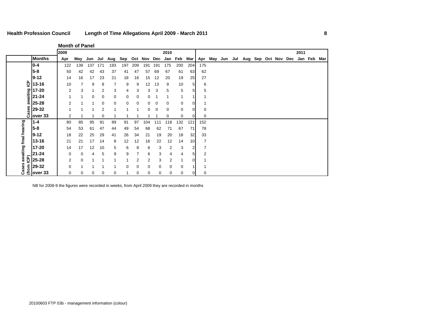**Month of Panel**

|                                                                                                                                                        |               | 2009           |     |     |     |             |             |     |             |     | 2010     |             |                |     |     |         |                     |  |  | 2011    |     |
|--------------------------------------------------------------------------------------------------------------------------------------------------------|---------------|----------------|-----|-----|-----|-------------|-------------|-----|-------------|-----|----------|-------------|----------------|-----|-----|---------|---------------------|--|--|---------|-----|
|                                                                                                                                                        | <b>Months</b> | Apr            | May | Jun | Jul | Aug         | Sep         |     | Oct Nov Dec |     | Jan      | Feb         | Mar            | Apr | May | Jun Jul | Aug Sep Oct Nov Dec |  |  | Jan Feb | Mar |
|                                                                                                                                                        | $0 - 4$       | 122            | 139 | 137 | 171 | 193         | 197         | 209 | 191         | 191 | 175      | 200         | 204            | 175 |     |         |                     |  |  |         |     |
|                                                                                                                                                        | $5 - 8$       | 50             | 42  | 42  | 43  | 37          | 41          | 47  | 57          | 69  | 67       | 61          | 63             | 62  |     |         |                     |  |  |         |     |
|                                                                                                                                                        | $9 - 12$      | 14             | 16  | 17  | 23  | 21          | 18          | 16  | 15          | 12  | 20       | 19          | 25             | 27  |     |         |                     |  |  |         |     |
| င်                                                                                                                                                     | 13-16         | 10             | 7   | 9   | 8   | 7           | 9           | 9   | 12          | 13  | 9        | 10          | 5              | 6   |     |         |                     |  |  |         |     |
|                                                                                                                                                        | 17-20         | $\overline{2}$ | 3   | 1   | 2   | 3           | 4           | 3   | 3           | 3   | 5        | 5           | 5              | 5   |     |         |                     |  |  |         |     |
| awaiting                                                                                                                                               | $21 - 24$     | 1              | 1   | 0   | 0   | 0           | $\mathbf 0$ | 0   | 0           |     | 1        | 1           |                |     |     |         |                     |  |  |         |     |
|                                                                                                                                                        | 25-28         | 2              |     |     | 0   | 0           | 0           | 0   | 0           | 0   | 0        | $\mathbf 0$ | $\overline{0}$ |     |     |         |                     |  |  |         |     |
| Cases                                                                                                                                                  | 29-32         |                |     |     | 2   |             |             |     | 0           | 0   | 0        | 0           | $\Omega$       | 0   |     |         |                     |  |  |         |     |
|                                                                                                                                                        | over 33       | 2              |     |     | 0   |             |             |     |             |     | 0        | 0           | 0              | 0   |     |         |                     |  |  |         |     |
|                                                                                                                                                        |               | 80             | 85  | 95  | 91  | 99          | 91          | 97  | 104         | 111 | 118      | 132         | 121            | 152 |     |         |                     |  |  |         |     |
|                                                                                                                                                        |               | 54             | 53  | 61  | 47  | 44          | 49          | 54  | 68          | 62  | 71       | 67          | 71             | 78  |     |         |                     |  |  |         |     |
|                                                                                                                                                        |               | 18             | 22  | 25  | 29  | 41          | 26          | 34  | 21          | 19  | 20       | 18          | 32             | 33  |     |         |                     |  |  |         |     |
|                                                                                                                                                        |               | 21             | 21  | 17  | 14  | 8           | 12          | 12  | 16          | 22  | 12       | 14          | 10             | 7   |     |         |                     |  |  |         |     |
|                                                                                                                                                        |               | 14             | 17  | 12  | 10  | 5           | 6           | 8   | 6           | 3   | 2        | 3           | 2              |     |     |         |                     |  |  |         |     |
|                                                                                                                                                        |               | 0              | 0   | 4   | 5   | 9           | 9           | 7   | 6           | 3   | 4        | 4           | 5 <sub>l</sub> | 2   |     |         |                     |  |  |         |     |
|                                                                                                                                                        |               | $\overline{2}$ | 0   | 1   |     |             |             | 2   | 2           | 3   | 2        |             | $\Omega$       |     |     |         |                     |  |  |         |     |
|                                                                                                                                                        |               | 0              |     |     |     |             | $\Omega$    | 0   | 0           | 0   | $\Omega$ | 0           |                |     |     |         |                     |  |  |         |     |
| <u>and pearling</u><br>times the discussion<br>times and the discussion of the discussion<br>and the discussion<br>29-32<br>Note: 33<br>29-32<br>29-32 |               | 0              | 0   | 0   | 0   | $\mathbf 0$ |             | 0   | 0           | 0   | 0        | 0           | 0              | 0   |     |         |                     |  |  |         |     |

NB for 2008-9 the figures were recorded in weeks, from April 2009 they are recorded in months

L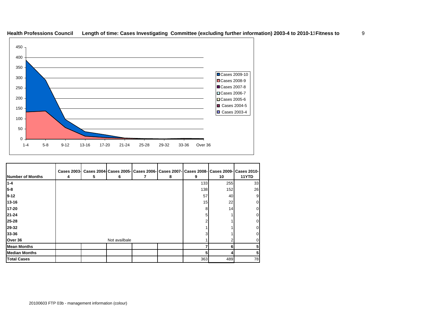

# **Health Professions Council Length of time: Cases Investigating Committee (excluding further information) 2003-4 to 2010-11Fitness to**

| Number of Months     | <b>Cases 2003-</b><br>4 | 5 | 6             | Cases 2004 Cases 2005   Cases 2006   Cases 2007   Cases 2008   Cases 2009   Cases 2010  <br>8 | 9   | 10  | 11YTD |
|----------------------|-------------------------|---|---------------|-----------------------------------------------------------------------------------------------|-----|-----|-------|
| $1 - 4$              |                         |   |               |                                                                                               | 133 | 255 | 33    |
| 5-8                  |                         |   |               |                                                                                               | 138 | 152 | 26    |
| $19 - 12$            |                         |   |               |                                                                                               | 57  | 40  | 9     |
| 13-16                |                         |   |               |                                                                                               | 15  | 22  | 0     |
| 17-20                |                         |   |               |                                                                                               |     | 14  |       |
| 21-24                |                         |   |               |                                                                                               |     |     | 0     |
| 25-28                |                         |   |               |                                                                                               |     |     | 0     |
| 29-32                |                         |   |               |                                                                                               |     |     | 0     |
| 33-36                |                         |   |               |                                                                                               |     |     |       |
| Over 36              |                         |   | Not availbale |                                                                                               |     |     |       |
| <b>Mean Months</b>   |                         |   |               |                                                                                               |     |     |       |
| <b>Median Months</b> |                         |   |               |                                                                                               |     |     |       |
| <b>Total Cases</b>   |                         |   |               |                                                                                               | 363 | 489 | 78    |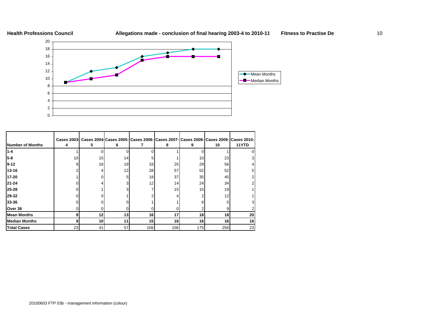



|                         | <b>Cases 2003-</b> |    |    |                 |     |     |     | Cases 2004 Cases 2005- Cases 2006- Cases 2007- Cases 2008- Cases 2009- Cases 2010- |
|-------------------------|--------------------|----|----|-----------------|-----|-----|-----|------------------------------------------------------------------------------------|
| <b>Number of Months</b> |                    | 5  | 6  |                 | 8   | 9   | 10  | 11YTD                                                                              |
| $1 - 4$                 |                    |    |    |                 |     |     |     |                                                                                    |
| $5-8$                   | 10                 | 15 | 14 |                 |     | 10  | 23  |                                                                                    |
| $9 - 12$                |                    | 16 | 19 | 33              | 25  | 29  | 56  |                                                                                    |
| $13 - 16$               |                    |    | 12 | 28              | 57  | 52  | 52  |                                                                                    |
| $17 - 20$               |                    |    | 5  | 18 <sub>1</sub> | 37  | 35  | 45  |                                                                                    |
| $21 - 24$               |                    |    |    | 12              | 14  | 24  | 34  |                                                                                    |
| $25 - 28$               |                    |    |    |                 | 15  | 15  | 19  |                                                                                    |
| 29-32                   |                    |    |    |                 |     |     | 12  |                                                                                    |
| 33-36                   |                    |    |    |                 |     |     |     |                                                                                    |
| Over 36                 |                    |    |    |                 |     |     | 9   |                                                                                    |
| <b>Mean Months</b>      |                    | 12 | 13 | 16              | 17  | 18  | 18  | 20                                                                                 |
| <b>Median Months</b>    |                    | 10 | 11 | 15              | 16  | 16  | 16  | 16                                                                                 |
| <b>Total Cases</b>      | 23                 | 41 | 57 | 106             | 156 | 175 | 256 | 23                                                                                 |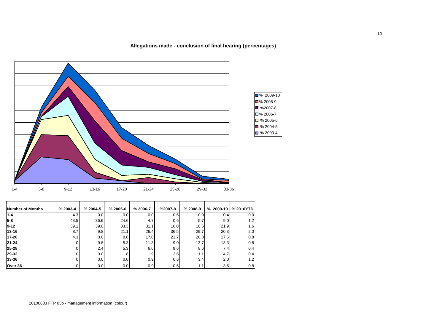**Allegations made - conclusion of final hearing (percentages)**



| <b>Number of Months</b> | % 2003-4 | % 2004-5 | % 2005-6         | % 2006-7 | $%2007-8$ | $% 2008-9$ | $% 2009-10$ | % 2010YTD |
|-------------------------|----------|----------|------------------|----------|-----------|------------|-------------|-----------|
| $1 - 4$                 | 4.3      | 0.0      | 0.0 <sub>l</sub> | 0.0      | 0.6       | 0.0        | 0.41        | 0.0       |
| $5-8$                   | 43.5     | 36.6     | 24.6             | 4.7      | 0.6       | 5.7        | 9.0         | 1.2       |
| $9 - 12$                | 39.1     | 39.0     | 33.3             | 31.1     | 16.0      | 16.6       | 21.9        | 1.6       |
| 13-16                   | 8.7      | 9.8      | 21.1             | 26.4     | 36.5      | 29.7       | 20.3        | 2.0       |
| $17 - 20$               | 4.3      | 0.0      | 8.8              | 17.0     | 23.7      | 20.0       | 17.6        | 0.8       |
| $21 - 24$               |          | 9.8      | 5.3              | 11.3     | 9.0       | 13.7       | 13.3        | 0.8       |
| $25 - 28$               |          | 2.4      | 5.3              | 6.6      | 9.6       | 8.6        | 7.4         | 0.4       |
| 29-32                   |          | 0.0      | 1.8              | 1.9      | 2.6       | 1.1        | 4.7         | 0.4       |
| 33-36                   |          | 0.0      | 0.0              | 0.9      | 0.6       | 3.4        | 2.0         | 1.2       |
| Over 36                 |          | 0.0      | 0.0              | 0.9      | 0.6       | 1.1        | 3.5         | 0.8       |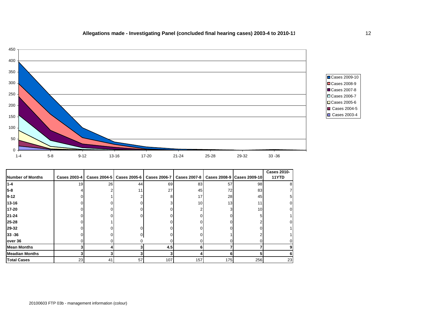# **Allegations made - Investigating Panel (concluded final hearing cases) 2003-4 to 2010-11** 12



Cases 2009-10 Cases 2008-9 Cases 2007-8 Cases 2006-7 Cases 2005-6 Cases 2004-5 Cases 2003-4

|                       |              |    |     |     |     |     |                                                                                          | <b>Cases 2010-</b> |
|-----------------------|--------------|----|-----|-----|-----|-----|------------------------------------------------------------------------------------------|--------------------|
| Number of Months      | Cases 2003-4 |    |     |     |     |     | Cases 2004-5   Cases 2005-6   Cases 2006-7   Cases 2007-8   Cases 2008-9   Cases 2009-10 | 11YTD              |
| $1 - 4$               | 19           | 26 | 44  | 69  | 83  | 57  | 98                                                                                       | 8                  |
| $5-8$                 |              |    | 11. | 27  | 45  | 72  | 83                                                                                       |                    |
| $9 - 12$              |              |    |     | 81  | 17  | 28  | 45                                                                                       | 5                  |
| 13-16                 |              |    |     | 31  | 10  | 13  | 11 <sub>1</sub>                                                                          |                    |
| 17-20                 |              |    |     | n١  |     | 31  | 10 <sup>1</sup>                                                                          |                    |
| $21 - 24$             |              |    |     |     |     |     |                                                                                          |                    |
| 25-28                 |              |    |     |     |     |     |                                                                                          |                    |
| 29-32                 |              |    |     |     |     |     |                                                                                          |                    |
| $33 - 36$             |              |    |     |     |     |     |                                                                                          |                    |
| over 36               |              |    |     |     |     |     |                                                                                          |                    |
| <b>Mean Months</b>    |              |    |     | 4.5 |     |     |                                                                                          |                    |
| <b>Meadian Months</b> |              |    |     |     |     | 6   |                                                                                          | 6                  |
| <b>Total Cases</b>    | 23           | 41 | 57  | 107 | 157 | 175 | 256                                                                                      | 23                 |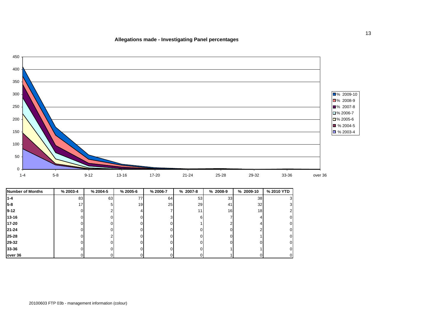### **Allegations made - Investigating Panel percentage s**



| <b>Number of Months</b> | % 2003-4 | % 2004-5 | $% 2005 - 6$ | % 2006-7 | % 2007-8 | % 2008-9 | % 2009-10       | % 2010 YTD     |
|-------------------------|----------|----------|--------------|----------|----------|----------|-----------------|----------------|
| 1-4                     | 83       | 63       | 77           | 64       | 53       | 33       | 38 <sup>1</sup> | 31             |
| $5-8$                   | 17       |          | 19           | 25       | 29       | 41       | 32              | 3 <sup>l</sup> |
| $9 - 12$                |          |          |              |          | 11       | 16       | 18 <sub>l</sub> | 2 <sup>1</sup> |
| $13 - 16$               |          |          |              |          | 'n       |          |                 | $\overline{0}$ |
| 17-20                   |          |          |              |          |          |          |                 | $\overline{0}$ |
| $21 - 24$               |          |          |              |          |          |          |                 | $\overline{0}$ |
| 25-28                   |          |          |              |          |          |          |                 | $\overline{0}$ |
| 29-32                   |          |          |              |          |          |          |                 | $\overline{0}$ |
| 33-36                   |          |          |              |          |          |          |                 | $\overline{0}$ |
| over 36                 |          |          |              |          |          |          |                 | $\overline{0}$ |

13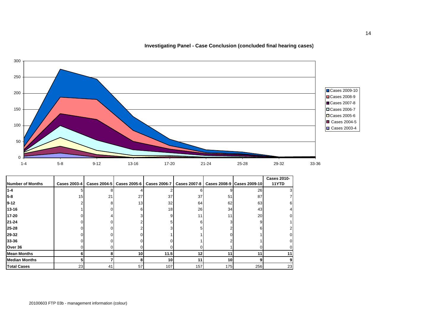**Investigating Panel - Case Conclusion (concluded final hearing cases)**



|                         |                 |    |                             |                     |              |                 |                            | <b>Cases 2010-</b> |
|-------------------------|-----------------|----|-----------------------------|---------------------|--------------|-----------------|----------------------------|--------------------|
| <b>Number of Months</b> | Cases 2003-4    |    | Cases 2004-5   Cases 2005-6 | <b>Cases 2006-7</b> | Cases 2007-8 |                 | Cases 2008-9 Cases 2009-10 | 11YTD              |
| $1 - 4$                 |                 |    |                             |                     |              |                 | 26                         |                    |
| $5 - 8$                 | 15 <sup>1</sup> | 21 | 27                          | 37                  | 37           | 51              | 87                         |                    |
| 9-12                    |                 |    | 13                          | 32                  | 64           | 62              | 63                         |                    |
| $13 - 16$               |                 |    |                             | 18                  | 26           | 34              | 43                         |                    |
| 17-20                   |                 |    |                             |                     | 11           | 11 <sub>1</sub> | 20                         |                    |
| 21-24                   |                 |    |                             |                     |              |                 | g                          |                    |
| 25-28                   |                 |    |                             |                     |              |                 | ĸ                          |                    |
| 29-32                   |                 |    |                             |                     |              |                 |                            |                    |
| 33-36                   |                 |    |                             |                     |              |                 |                            |                    |
| Over 36                 |                 |    |                             |                     |              |                 |                            |                    |
| <b>Mean Months</b>      |                 |    | 10                          | 11.5                | 12           | 11              | 11                         |                    |
| <b>Median Months</b>    |                 |    |                             | 10                  | 11           | 10              | 9                          |                    |
| <b>Total Cases</b>      | 23              | 41 | 57                          | 107                 | 157          | 175             | 256                        | 23                 |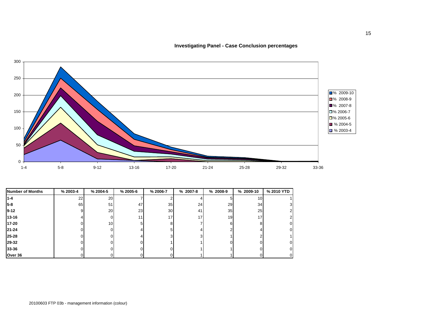**Investigating Panel - Case Conclusion percentages**



| <b>Number of Months</b> | % 2003-4 | % 2004-5        | $% 2005 - 6$ | % 2006-7 | $% 2007-8$ | % 2008-9 | % 2009-10 | % 2010 YTD     |
|-------------------------|----------|-----------------|--------------|----------|------------|----------|-----------|----------------|
| $1 - 4$                 | 22       | <b>20</b>       |              |          |            |          | 10        |                |
| 5-8                     | 65       | 51              | 47           | 35       | 24         | 29       | 34        | 3              |
| 9-12                    |          | <b>20</b>       | 23           | 30       | 41         | 35       | 25        | 2              |
| $13 - 16$               |          |                 | 11           | 17       | 17         | 19       | 17        | $\overline{2}$ |
| 17-20                   |          | 10 <sup>1</sup> |              | 8        |            | ĥ        | 8         | 0              |
| $21 - 24$               |          |                 |              | 5        |            |          | 4         | 0              |
| 25-28                   |          |                 |              | ?        |            |          |           |                |
| 29-32                   |          |                 |              |          |            |          |           | 0              |
| 33-36                   |          |                 |              |          |            |          |           | 0              |
| Over 36                 |          |                 |              |          |            |          |           |                |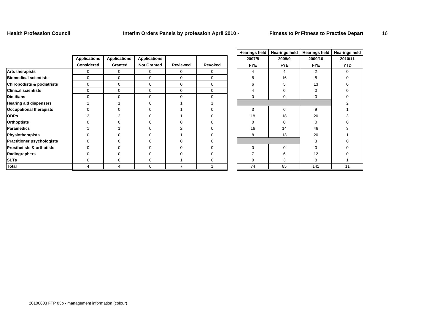**Health Profession Council Interim Orders Panels by profession April 2010 - Fitness to Pr Fitness to Practise Depart** 16

|                                       |                     |                     |                     |             |             |            |            |               | . . <del>.</del> <del>.</del> |
|---------------------------------------|---------------------|---------------------|---------------------|-------------|-------------|------------|------------|---------------|-------------------------------|
|                                       | <b>Applications</b> | <b>Applications</b> | <b>Applications</b> |             |             | 2007/8     | 2008/9     | 2009/10       | 2010/11                       |
|                                       | <b>Considered</b>   | Granted             | <b>Not Granted</b>  | Reviewed    | Revoked     | <b>FYE</b> | <b>FYE</b> | <b>FYE</b>    | <b>YTD</b>                    |
| <b>Arts therapists</b>                | 0                   | 0                   | 0                   | ∩           | $\mathbf 0$ |            |            | $\mathcal{P}$ |                               |
| <b>Biomedical scientists</b>          | 0                   | $\mathbf 0$         | $\Omega$            | $\Omega$    | $\mathbf 0$ |            | 16         |               |                               |
| <b>Chiropodists &amp; podiatrists</b> | $\mathbf 0$         | $\mathbf 0$         | 0                   | $\mathbf 0$ | 0           |            |            | 13            |                               |
| <b>Clinical scientists</b>            | $\Omega$            | 0                   | 0                   | $\Omega$    | 0           |            |            |               |                               |
| <b>Dietitians</b>                     | $\Omega$            | $\mathbf 0$         | $\Omega$            | $\Omega$    | $\Omega$    |            | 0          |               |                               |
| <b>Hearing aid dispensers</b>         |                     |                     |                     |             |             |            |            |               |                               |
| <b>Occupational therapists</b>        |                     |                     |                     |             |             | 3          | 6          | 9             |                               |
| <b>ODPs</b>                           |                     |                     |                     |             |             | 18         | 18         | 20            |                               |
| <b>Orthoptists</b>                    |                     |                     |                     |             |             |            |            |               |                               |
| <b>Paramedics</b>                     |                     |                     |                     |             |             | 16         | 14         | 46            |                               |
| Physiotherapists                      |                     |                     |                     |             |             | 8          | 13         | 20            |                               |
| <b>Practitioner psychologists</b>     |                     |                     |                     |             |             |            |            |               |                               |
| <b>Prosthetists &amp; orthotists</b>  |                     |                     |                     |             |             |            | O          |               |                               |
| Radiographers                         |                     |                     |                     |             |             |            |            | 12            |                               |
| <b>SLTs</b>                           |                     |                     |                     |             |             |            |            |               |                               |
| <b>Total</b>                          |                     |                     | $\Omega$            |             |             | 74         | 85         | 141           | 11                            |

|   | <b>Hearings held</b> | <b>Hearings held</b> | <b>Hearings held</b> | <b>Hearings held</b> |
|---|----------------------|----------------------|----------------------|----------------------|
|   | 2007/8               | 2008/9               | 2009/10              | 2010/11              |
| q | <b>FYE</b>           | <b>FYE</b>           | <b>FYE</b>           | <b>YTD</b>           |
|   | $\overline{4}$       | 4                    | $\overline{2}$       | $\mathbf 0$          |
|   | 8                    | 16                   | 8                    | $\mathbf 0$          |
|   | 6                    | 5                    | 13                   | 0                    |
|   | 4                    | 0                    | 0                    | 0                    |
|   | 0                    | 0                    | $\mathbf 0$          | 0                    |
|   |                      |                      |                      | $\overline{2}$       |
|   | 3                    | 6                    | 9                    | 1                    |
|   | 18                   | 18                   | 20                   | 3                    |
|   | 0                    | 0                    | 0                    | $\mathbf 0$          |
|   | 16                   | 14                   | 46                   | 3                    |
|   | 8                    | 13                   | 20                   |                      |
|   |                      |                      | 3                    | 0                    |
|   | $\mathbf 0$          | 0                    | 0                    | 0                    |
|   | 7                    | 6                    | 12                   | 0                    |
|   | 0                    | 3                    | 8                    |                      |
|   | 74                   | 85                   | 141                  | 11                   |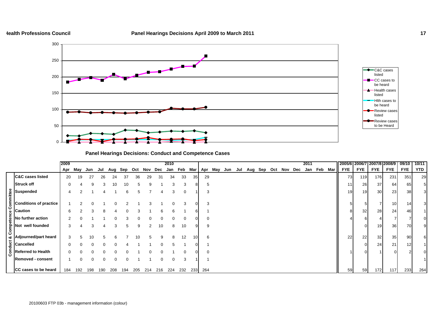### **Health Professions Council**



# **Panel Hearings Decisions: Conduct and Competence Cases**

|   |                                                                                                                                                                                                                                                                                                                                                                        | 2009 |     |     |     |     |     |     |     |     | 2010     |          |     |          |  |  |                                 |  | 2011 |         |     |                 |            | 2005/6 2006/7 2007/8 2008/9 |                 | 09/10           | 10/11      |
|---|------------------------------------------------------------------------------------------------------------------------------------------------------------------------------------------------------------------------------------------------------------------------------------------------------------------------------------------------------------------------|------|-----|-----|-----|-----|-----|-----|-----|-----|----------|----------|-----|----------|--|--|---------------------------------|--|------|---------|-----|-----------------|------------|-----------------------------|-----------------|-----------------|------------|
|   |                                                                                                                                                                                                                                                                                                                                                                        | Apr  | May | Jun | Jul | Aug | Sep | Oct | Nov | Dec | Jan      | Feb      | Mar | Apr      |  |  | May Jun Jul Aug Sep Oct Nov Dec |  |      | Jan Feb | Mar | <b>FYE</b>      | <b>FYE</b> | <b>FYE</b>                  | <b>FYE</b>      | <b>FYE</b>      | <b>YTD</b> |
|   | <b>C&amp;C cases listed</b>                                                                                                                                                                                                                                                                                                                                            | 20   | 19  | 27  | 26  | 24  | 37  | 36  | 29  | 31  | 34       | 33       | 35  | 29       |  |  |                                 |  |      |         |     | 73              | 119        | 176                         | 231             | 351             | 29         |
|   | <b>Struck off</b>                                                                                                                                                                                                                                                                                                                                                      | 0    |     |     | 3   | 10  | 10  | 5   | 9   |     | 3        | 3        |     | G        |  |  |                                 |  |      |         |     | 11              | 26         | 37                          | 64              | 65              | 5          |
|   |                                                                                                                                                                                                                                                                                                                                                                        | 4    |     |     |     |     | 6   | .h  |     |     |          | $\Omega$ |     |          |  |  |                                 |  |      |         |     | 19 <sup>l</sup> | 19         | 30                          | 23              | 38              | 3          |
|   | $g dispended g Conditions h$<br>Conditions of practice                                                                                                                                                                                                                                                                                                                 |      |     |     |     |     |     |     |     |     |          |          |     |          |  |  |                                 |  |      |         |     |                 | 5          |                             | 10 <sup>1</sup> | 14 <sub>l</sub> |            |
| Ō |                                                                                                                                                                                                                                                                                                                                                                        | 6    |     |     | 8   |     |     | 3   |     |     | 6        |          |     |          |  |  |                                 |  |      |         |     | 8               | 32         | 28                          | 24              | 46              |            |
|   | $\begin{bmatrix} 8 & 1 \\ 1 & 1 \\ 1 & 1 \\ 1 & 1 \\ 1 & 1 \\ 1 & 1 \\ 1 & 1 \\ 1 & 1 \\ 1 & 1 \\ 1 & 1 \\ 1 & 1 \\ 1 & 1 \\ 1 & 1 \\ 1 & 1 \\ 1 & 1 \\ 1 & 1 \\ 1 & 1 \\ 1 & 1 \\ 1 & 1 \\ 1 & 1 \\ 1 & 1 \\ 1 & 1 \\ 1 & 1 \\ 1 & 1 \\ 1 & 1 \\ 1 & 1 \\ 1 & 1 \\ 1 & 1 \\ 1 & 1 \\ 1 & 1 \\ 1 & 1 \\ 1 & 1 \\ 1 & 1 \\ 1 & 1 \\ 1 & 1 \\ 1 & $<br>No further action | 2    |     |     |     |     |     |     |     |     |          | $\Omega$ |     | $\Omega$ |  |  |                                 |  |      |         |     |                 | 6          |                             |                 |                 |            |
|   | $\sum_{i=1}^{n}$ Not well founded                                                                                                                                                                                                                                                                                                                                      | 3    |     |     |     | 3   | 5   | 9   |     | 10  | 8        | 10       |     | 9        |  |  |                                 |  |      |         |     |                 | $\Omega$   | 19                          | 36              | 70              |            |
| ن | Adjourned/part heard                                                                                                                                                                                                                                                                                                                                                   | 3    |     |     |     |     |     | 10  |     |     |          | 12       |     | 6        |  |  |                                 |  |      |         |     | 22              | 22         | 32                          | 35              | 90              | 61         |
|   |                                                                                                                                                                                                                                                                                                                                                                        | 0    |     |     |     | ი   |     |     |     |     | 5        |          |     |          |  |  |                                 |  |      |         |     |                 |            | 24                          | 21              | 12              |            |
|   | $\begin{array}{c} \begin{array}{c} \mathbf{U} \\ \mathbf{U} \\ \hline \mathbf{E} \\ \mathbf{G} \end{array} \end{array}$ Referred to<br><b>Referred to Health</b>                                                                                                                                                                                                       | 0    |     |     |     |     |     |     |     |     |          |          |     |          |  |  |                                 |  |      |         |     |                 | $\Omega$   |                             |                 | 2               |            |
|   | <b>Removed - consent</b>                                                                                                                                                                                                                                                                                                                                               |      | 0   |     | 0   | 0   |     |     |     |     | $\Omega$ | 3        |     |          |  |  |                                 |  |      |         |     |                 |            |                             |                 |                 |            |
|   | CC cases to be heard                                                                                                                                                                                                                                                                                                                                                   | 184  | 192 | 198 | 190 | 208 | 194 | 205 | 214 | 216 | 224      | 232      |     | 233 264  |  |  |                                 |  |      |         |     | 59              | 59         | 172                         | 117             | 233             | 264        |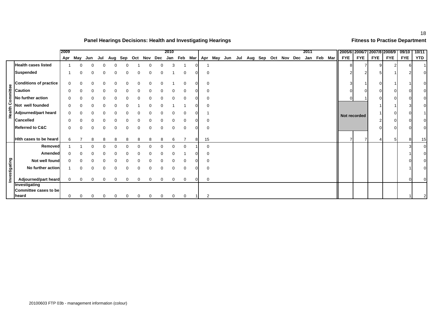# **Panel Hearings Decisions: Health and Investigating Hearings Fitness to Practise Department**

|                         |                                        | 2009         |             |          |     |          |     |   |          |             | 2010     |              |   |                |  |  |  |                                     | 2011 |             |                |              | 2005/6 2006/7 2007/8 2008/9 |            | 09/10      | 10/11          |
|-------------------------|----------------------------------------|--------------|-------------|----------|-----|----------|-----|---|----------|-------------|----------|--------------|---|----------------|--|--|--|-------------------------------------|------|-------------|----------------|--------------|-----------------------------|------------|------------|----------------|
|                         |                                        |              | Apr May     | Jun      | Jul | Aug      | Sep |   |          | Oct Nov Dec |          | Jan Feb Mar  |   |                |  |  |  | Apr May Jun Jul Aug Sep Oct Nov Dec |      | Jan Feb Mar | <b>FYE</b>     | <b>FYE</b>   | <b>FYE</b>                  | <b>FYE</b> | <b>FYE</b> | YTD            |
|                         | <b>Health cases listed</b>             |              |             |          |     |          |     |   |          |             | 3        |              |   |                |  |  |  |                                     |      |             | 8              |              |                             |            | 61         |                |
|                         | <b>Suspended</b>                       |              | 0           |          |     | 0        | 0   |   | $\Omega$ |             |          | $\mathbf 0$  |   | 0              |  |  |  |                                     |      |             | 2              | 2            |                             |            |            | $\overline{0}$ |
|                         | <b>Conditions of practice</b>          | $\mathbf{0}$ |             |          |     |          |     |   |          |             |          | 0            |   |                |  |  |  |                                     |      |             | 3              |              |                             |            |            |                |
|                         | <b>Caution</b>                         |              |             |          |     |          |     |   |          |             |          | $\Omega$     |   |                |  |  |  |                                     |      |             | $\overline{0}$ | $\Omega$     |                             |            |            | U              |
| <b>Health Committee</b> | No further action                      |              |             |          |     |          |     |   |          |             |          | $\Omega$     |   |                |  |  |  |                                     |      |             | $\Omega$       |              |                             |            |            |                |
|                         | Not well founded                       |              |             |          |     |          |     |   |          |             |          |              |   |                |  |  |  |                                     |      |             |                |              |                             |            |            |                |
|                         | Adjourned/part heard                   | 0            |             |          |     |          |     |   |          |             |          | $\Omega$     |   |                |  |  |  |                                     |      |             |                | Not recorded |                             |            | $\Omega$   |                |
|                         | <b>Cancelled</b>                       |              |             |          |     |          |     |   |          |             |          | $\mathbf{0}$ |   |                |  |  |  |                                     |      |             |                |              |                             |            |            |                |
|                         | <b>Referred to C&amp;C</b>             | 0            |             |          |     |          | 0   | 0 | $\Omega$ |             | 0        | 0            |   | 0              |  |  |  |                                     |      |             |                |              |                             |            |            |                |
|                         | Hith cases to be heard                 |              |             |          |     |          |     |   | 8        |             |          |              | 8 | 15             |  |  |  |                                     |      |             |                |              |                             |            | 8          | 15             |
|                         | Removed                                |              |             |          |     |          |     |   | $\Omega$ |             | $\Omega$ | $\mathbf 0$  |   | $\Omega$       |  |  |  |                                     |      |             |                |              |                             |            |            | $\Omega$       |
|                         | Amended                                |              |             |          |     |          |     |   |          |             |          |              |   |                |  |  |  |                                     |      |             |                |              |                             |            |            | $\Omega$       |
|                         | Not well found                         |              |             |          |     |          |     |   |          |             |          | 0            |   |                |  |  |  |                                     |      |             |                |              |                             |            |            |                |
|                         | No further action                      |              |             |          |     |          |     |   |          |             |          | $\mathbf 0$  |   | $\Omega$       |  |  |  |                                     |      |             |                |              |                             |            |            |                |
| Investigating           |                                        |              |             |          |     |          |     |   |          |             |          |              |   |                |  |  |  |                                     |      |             |                |              |                             |            |            |                |
|                         | Adjourned/part heard                   | $\mathbf 0$  | $\mathbf 0$ | $\Omega$ | 0   | $\Omega$ | 0   | 0 | $\Omega$ | $\Omega$    | $\Omega$ | $\mathbf 0$  | 0 | 0              |  |  |  |                                     |      |             |                |              |                             |            | $\Omega$   |                |
|                         | Investigating<br>Committee cases to be |              |             |          |     |          |     |   |          |             |          |              |   |                |  |  |  |                                     |      |             |                |              |                             |            |            |                |
|                         | heard                                  | 0            | $\Omega$    | $\Omega$ |     | $\Omega$ | 0   |   | $\Omega$ | $\Omega$    | $\Omega$ | $\mathbf 0$  |   | $\overline{2}$ |  |  |  |                                     |      |             |                |              |                             |            |            |                |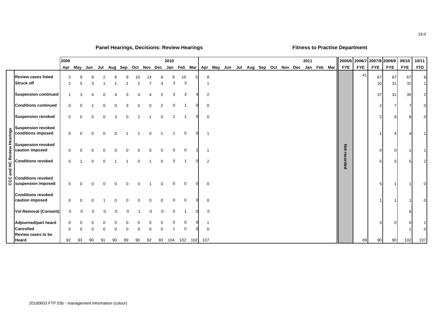# **Panel Hearings, Decisions: Review Hearings Fitness to Practise Department**

|                                                                                                                                                                                                                                                                      | 2009     |          |          |    |          |                                     |         |    |          | 2010        |          |          |                |         |  |  |  | 2011 |                                         |            | 2005/6 2006/7 | 2007/8 2008/9  |            | 09/10      | 10/11          |
|----------------------------------------------------------------------------------------------------------------------------------------------------------------------------------------------------------------------------------------------------------------------|----------|----------|----------|----|----------|-------------------------------------|---------|----|----------|-------------|----------|----------|----------------|---------|--|--|--|------|-----------------------------------------|------------|---------------|----------------|------------|------------|----------------|
|                                                                                                                                                                                                                                                                      | Apr      | May Jun  |          |    |          | Jul Aug Sep Oct Nov Dec Jan Feb Mar |         |    |          |             |          |          |                | Apr May |  |  |  |      | Jun Jul Aug Sep Oct Nov Dec Jan Feb Mar | <b>FYE</b> | <b>FYE</b>    | <b>FYE</b>     | <b>FYE</b> | <b>FYE</b> | <b>YTD</b>     |
| <b>Review cases listed</b><br><b>Struck off</b>                                                                                                                                                                                                                      | 3<br>2   | 5        | 3        |    |          |                                     | 10<br>2 |    | 3        | 9<br>3      | 10<br>3  |          | 8              |         |  |  |  |      |                                         |            | 41            | 67<br>10       | 67<br>31   | 67<br>31   | 8              |
| <b>Suspension continued</b>                                                                                                                                                                                                                                          |          |          |          |    |          |                                     |         |    |          | ঽ           | 3        |          | 2              |         |  |  |  |      |                                         |            |               | 37             | 31         | 35         | $\overline{2}$ |
| <b>Conditions continued</b>                                                                                                                                                                                                                                          | 0        |          |          |    |          |                                     |         |    |          |             |          |          | $\mathbf 0$    |         |  |  |  |      |                                         |            |               | $\overline{2}$ |            |            | $\Omega$       |
| <b>Suspension revoked</b>                                                                                                                                                                                                                                            | 0        |          | 0        |    |          |                                     |         |    | $\Omega$ |             |          |          | $\mathbf 0$    |         |  |  |  |      |                                         |            |               | 2              | 8          | 8          | $\Omega$       |
| $\begin{array}{r} \begin{array}{r} \text{g} \\ \text{g} \\ \text{h} \\ \text{h} \\ \text{h} \\ \text{h} \\ \text{h} \\ \text{h} \\ \text{h} \\ \text{h} \\ \text{h} \\ \text{h} \\ \text{h} \\ \text{h} \\ \text{h} \\ \text{h} \\ \text{h} \end{array} \end{array}$ | 0        |          | $\Omega$ |    | $\Omega$ |                                     |         |    |          |             | $\Omega$ | $\Omega$ | - 1            |         |  |  |  |      |                                         |            |               |                |            |            |                |
|                                                                                                                                                                                                                                                                      | 0        |          |          |    |          |                                     |         |    |          | $\Omega$    | $\Omega$ |          |                |         |  |  |  |      |                                         | Not        |               | $\overline{0}$ |            |            |                |
|                                                                                                                                                                                                                                                                      | 0        |          | $\Omega$ |    |          |                                     |         |    | $\Omega$ | $\mathbf 0$ |          |          | $\overline{2}$ |         |  |  |  |      |                                         | recorded   |               | 5              |            |            | $\overline{2}$ |
| <b>Conditions revoked</b><br>ပ္ပ Conditions revoked<br>ပ suspension imposed                                                                                                                                                                                          | $\Omega$ |          |          |    |          |                                     |         |    |          | $\Omega$    | $\Omega$ |          | $\mathbf 0$    |         |  |  |  |      |                                         |            |               | 5              |            |            | $\Omega$       |
| <b>Conditions revoked</b><br>caution imposed                                                                                                                                                                                                                         | 0        | $\Omega$ | n        |    |          |                                     |         |    |          | $\Omega$    | $\Omega$ |          | 0              |         |  |  |  |      |                                         |            |               |                |            |            | $\Omega$       |
| <b>Vol Removal (Consent)</b>                                                                                                                                                                                                                                         | 0        | 0        |          |    |          | ∩                                   |         | n  | $\Omega$ | $\Omega$    |          |          | $\mathbf 0$    |         |  |  |  |      |                                         |            |               |                |            |            |                |
| Adjourned/part heard<br><b>Cancelled</b>                                                                                                                                                                                                                             | 0<br>n   |          |          |    |          |                                     |         |    |          |             | 0        |          | $\Omega$       |         |  |  |  |      |                                         |            |               | 3              | ∩          | 0          | $\Omega$       |
| <b>Review cases to be</b><br>Heard                                                                                                                                                                                                                                   | 92       | 93       | 90       | 91 | 90       | 89                                  | 90      | 92 | 93       | 104         | 102      | 102      | 107            |         |  |  |  |      |                                         |            | 69            | 90             | 90         | 102        | 107            |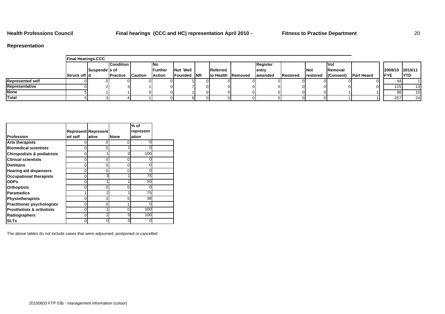**Health Professions Council Final hearings (CCC and HC) representation April 2010 - Fitness to Practise Department** 20

# **Representation**

|                         | <b>Final Hearings-CCC</b> |               |                  |                 |         |                     |                           |          |                  |             |                 |                    |                  |            |
|-------------------------|---------------------------|---------------|------------------|-----------------|---------|---------------------|---------------------------|----------|------------------|-------------|-----------------|--------------------|------------------|------------|
|                         |                           |               | <b>Condition</b> |                 | INO     |                     |                           | Register |                  |             | IVol            |                    |                  |            |
|                         |                           | Suspende s of |                  |                 | Further | Not Well            | Referred                  | lentry   |                  | <b>INot</b> | <b>IRemoval</b> |                    | 2009/10 2010/11  |            |
|                         | Struck off Id             |               | <b>IPractice</b> | <b>ICaution</b> | Action  | <b>IFounded INR</b> | <b>Ito Health Removed</b> | lamended | <b>IRestored</b> | restored    | (Consent)       | <b>IPart Heard</b> | <b>IFYE</b>      | <b>YTD</b> |
| <b>Represented self</b> |                           |               |                  |                 |         |                     |                           |          |                  |             |                 |                    |                  |            |
| Representative          |                           |               |                  |                 |         |                     |                           |          |                  |             |                 |                    | 115 <sub>1</sub> | 13         |
| <b>None</b>             |                           |               |                  |                 |         |                     |                           |          |                  |             |                 |                    | 98 I             | 10         |
| Total                   |                           |               |                  |                 |         |                     |                           |          |                  |             |                 |                    | 257              | 24         |

|                                       |         |                            |      | $%$ of    |  |
|---------------------------------------|---------|----------------------------|------|-----------|--|
|                                       |         | <b>Represent Represent</b> |      | represent |  |
| Profession                            | ed self | ative                      | None | ation     |  |
| <b>Arts therapists</b>                | 0       | 0                          | ი    | ი         |  |
| <b>Biomedical scientists</b>          | 0       | ი                          |      |           |  |
| <b>Chiropodists &amp; podiatrists</b> | 0       |                            |      | 100       |  |
| <b>Clinical scientists</b>            | 0       | 0                          | 0    |           |  |
| <b>Dietitians</b>                     | 0       | $\Omega$                   | 0    |           |  |
| <b>Hearing aid dispensers</b>         | 0       | 0                          | 0    |           |  |
| <b>Occupational therapists</b>        | 0       | 3                          |      | 75        |  |
| <b>ODPs</b>                           | 0       |                            |      | 50        |  |
| <b>Orthoptists</b>                    | 0       | 0                          | ი    |           |  |
| <b>Paramedics</b>                     |         | 2                          |      | 75        |  |
| <b>Physiotherapists</b>               | 0       | 3                          | 5    | 38        |  |
| <b>Practitioner psychologists</b>     | 0       | 0                          |      |           |  |
| <b>Prosthetists &amp; orthotists</b>  | 0       |                            | 0    | 100       |  |
| Radiographers                         | 0       | $\overline{2}$             | 0    | 100       |  |
| <b>SLTs</b>                           | 0       | ი                          | 0    |           |  |

The above tables do not include cases that were adjourned, postponed or cancelled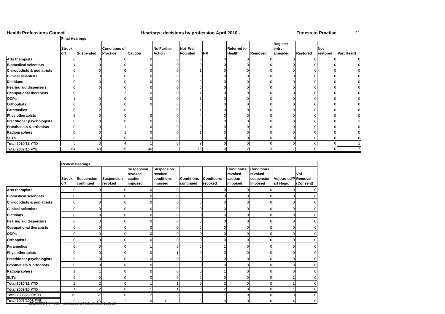### **Health Professions Council Hearings: decisions by profession April 2010 - Fitness to Practise** 21

### **Final Hearings**

|                                       | <b>Struck</b> |           | <b>Conditions of</b> |                | <b>No Further</b> | Not Well       |           | <b>Referred to</b> |         | Register<br>entry |                 | <b>Not</b> |                   |
|---------------------------------------|---------------|-----------|----------------------|----------------|-------------------|----------------|-----------|--------------------|---------|-------------------|-----------------|------------|-------------------|
|                                       | off           | Suspended | <b>Practice</b>      | <b>Caution</b> | <b>Action</b>     | <b>Founded</b> | <b>NR</b> | Health             | Removed | amended           | <b>Restored</b> | restored   | <b>Part Heard</b> |
| <b>Arts therapists</b>                |               |           |                      |                |                   |                |           |                    |         |                   |                 |            |                   |
| <b>Biomedical scientists</b>          |               |           |                      |                |                   |                |           |                    |         |                   |                 |            |                   |
| <b>Chiropodists &amp; podiatrists</b> |               |           |                      |                |                   |                |           |                    |         |                   |                 |            |                   |
| <b>Clinical scientists</b>            |               |           |                      |                |                   |                |           |                    |         |                   |                 |            |                   |
| <b>Dietitians</b>                     |               |           |                      |                |                   |                |           |                    |         |                   |                 |            |                   |
| <b>Hearing aid dispensers</b>         |               |           |                      |                |                   |                |           |                    |         |                   |                 |            |                   |
| <b>Occupational therapists</b>        |               |           |                      |                |                   |                |           |                    |         |                   |                 |            |                   |
| <b>ODPs</b>                           |               |           |                      |                |                   |                |           |                    |         |                   |                 |            |                   |
| <b>Orthoptists</b>                    |               |           |                      |                |                   |                |           |                    |         |                   |                 |            |                   |
| <b>Paramedics</b>                     |               |           |                      |                |                   |                |           |                    |         |                   |                 |            |                   |
| Physiotherapists                      |               |           |                      |                |                   |                |           |                    |         |                   |                 |            |                   |
| <b>Practitioner psychologists</b>     |               |           |                      |                |                   |                |           |                    |         |                   |                 |            |                   |
| <b>Prosthetists &amp; orthotists</b>  |               |           |                      |                |                   |                |           |                    |         |                   |                 |            |                   |
| Radiographers                         |               |           |                      |                |                   |                |           |                    |         |                   |                 |            |                   |
| <b>SLTs</b>                           |               |           |                      |                |                   |                |           |                    |         |                   |                 |            |                   |
| <b>Total 2010/11 YTD</b>              | 5.            |           |                      |                |                   |                |           |                    |         |                   |                 |            |                   |
| <b>Total 2009/10 FYE</b>              | 64            | 40        | 15                   | 46             |                   | 76             |           |                    |         |                   |                 |            |                   |

|                                                                         | <b>Review Hearings</b> |                                |                              |                              |                              |                                |                              |                              |                              |                                         |                |
|-------------------------------------------------------------------------|------------------------|--------------------------------|------------------------------|------------------------------|------------------------------|--------------------------------|------------------------------|------------------------------|------------------------------|-----------------------------------------|----------------|
|                                                                         |                        |                                |                              | <b>Suspension</b><br>revoked | <b>Suspension</b><br>revoked |                                |                              | <b>Conditions</b><br>revoked | <b>Conditions</b><br>revoked |                                         | Vol            |
|                                                                         | <b>Struck</b><br>off   | <b>Suspension</b><br>continued | <b>Suspension</b><br>revoked | caution<br>imposed           | conditions<br>imposed        | <b>Conditions</b><br>continued | <b>Conditions</b><br>revoked | caution<br>imposed           | suspension<br>imposed        | <b>Adjourned/P Removal</b><br>art Heard | (Consent)      |
| <b>Arts therapists</b>                                                  | 0                      | ŋ                              |                              |                              |                              |                                |                              |                              |                              |                                         | $\mathbf 0$    |
| <b>Biomedical scientists</b>                                            | $\mathbf 0$            |                                |                              |                              |                              |                                |                              | $\Omega$                     |                              |                                         | $\overline{0}$ |
| Chiropodists & podiatrists                                              | 0                      |                                |                              |                              |                              |                                |                              |                              |                              |                                         | $\Omega$       |
| <b>Clinical scientists</b>                                              | $\Omega$               | $\Omega$                       | r                            |                              |                              |                                | $\Omega$                     | $\Omega$                     |                              |                                         | $\mathbf 0$    |
| <b>Dietitians</b>                                                       | $\mathbf{0}$           | $\Omega$                       |                              |                              |                              |                                |                              | n                            |                              |                                         | $\overline{0}$ |
| <b>Hearing aid dispensers</b>                                           | $\mathbf{0}$           | $\Omega$                       | n                            |                              |                              | r                              | $\Omega$                     | $\Omega$                     | ∩                            | n                                       | $\overline{0}$ |
| <b>Occupational therapists</b>                                          | $\Omega$               | $\Omega$                       | n                            |                              |                              |                                | $\Omega$                     | $\Omega$                     | U                            |                                         | $\overline{0}$ |
| <b>ODPs</b>                                                             | O                      | $\Omega$                       |                              |                              |                              |                                |                              | ∩                            |                              |                                         | $\mathbf 0$    |
| <b>Orthoptists</b>                                                      | $\mathbf{0}$           | $\Omega$                       | O                            |                              |                              |                                | ∩                            | $\Omega$                     |                              |                                         | $\overline{0}$ |
| <b>Paramedics</b>                                                       | $\Omega$               | $\Omega$                       | O                            |                              |                              |                                |                              | $\Omega$                     | U                            |                                         | $\mathbf 0$    |
| Physiotherapists                                                        | $\mathbf 0$            | $\Omega$                       |                              |                              |                              |                                | n                            | $\Omega$                     |                              |                                         | $\overline{0}$ |
| <b>Practitioner psychologists</b>                                       | $\Omega$               | $\Omega$                       | n                            |                              |                              |                                |                              | $\Omega$                     |                              |                                         | $\overline{0}$ |
| <b>Prosthetists &amp; orthotists</b>                                    | $\Omega$               | $\Omega$                       |                              |                              |                              |                                |                              | $\Omega$                     |                              |                                         | $\Omega$       |
| Radiographers                                                           |                        |                                | n                            |                              |                              |                                |                              | $\Omega$                     |                              |                                         | $\Omega$       |
| <b>SLTs</b>                                                             | 0                      | $\Omega$                       | n                            |                              |                              |                                | ∩                            | $\Omega$                     | $\Omega$                     |                                         | $\overline{0}$ |
| <b>Total 2010/11 YTD</b>                                                |                        | $\overline{2}$                 |                              |                              |                              |                                |                              | $\Omega$                     |                              |                                         | $\overline{0}$ |
| Total 2009/10 YTD                                                       |                        | $\overline{2}$                 | $\Omega$                     |                              |                              | r                              | 2                            | $\Omega$                     | $\Omega$                     |                                         | $\Omega$       |
| <b>Total 2008/2009YTD</b>                                               | 16                     | 51                             | 8                            |                              |                              | э                              |                              | $\Omega$                     | $\cap$                       |                                         | $\overline{0}$ |
| Total 2007/2008 FYE<br>20100603 FTP 03b management information (colour) |                        |                                | 2                            | $\cap$                       | $\Omega$                     | Э                              | $\Omega$                     | $\Omega$                     | $\Omega$                     |                                         | $\Omega$       |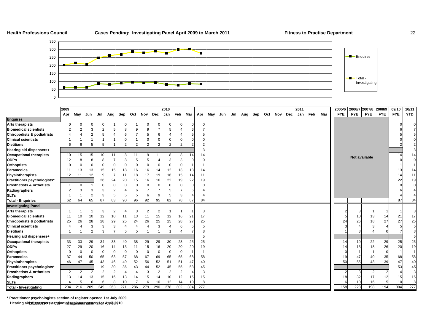### **Health Professions Council**

### Cases Pending: Investigating Panel April 2009 to March 2011 **Fitness to Practise Department** 22



|                                      | 2009           |                |                |                |                          |                |                     |                |                | 2010           |                |     |                  |         |     |     |                     |  |  | 2011 |     |     | 2005/6     |     | 2006/7 2007/8 |            | 2008/9     | 09/10      | 10/11      |
|--------------------------------------|----------------|----------------|----------------|----------------|--------------------------|----------------|---------------------|----------------|----------------|----------------|----------------|-----|------------------|---------|-----|-----|---------------------|--|--|------|-----|-----|------------|-----|---------------|------------|------------|------------|------------|
|                                      | Apr            | May            | Jun            | Jul            |                          |                | Aug Sep Oct Nov Dec |                |                | Jan            | Feb Mar        |     |                  | Apr May | Jun | Jul | Aug Sep Oct Nov Dec |  |  | Jan  | Feb | Mar | <b>FYE</b> |     | <b>FYE</b>    | <b>FYE</b> | <b>FYE</b> | <b>FYE</b> | <b>YTD</b> |
| <b>Enquires</b>                      |                |                |                |                |                          |                |                     |                |                |                |                |     |                  |         |     |     |                     |  |  |      |     |     |            |     |               |            |            |            |            |
| <b>Arts therapists</b>               | 0              | $\Omega$       | $\Omega$       |                |                          |                |                     |                |                |                |                |     | $\mathbf 0$      |         |     |     |                     |  |  |      |     |     |            |     |               |            |            |            |            |
| <b>Biomedical scientists</b>         | $\overline{2}$ | $\overline{2}$ | 3              | $\overline{2}$ |                          | 8              | g                   |                |                |                |                |     |                  |         |     |     |                     |  |  |      |     |     |            |     |               |            |            |            |            |
| Chiropodists & podiatrists           | 4              |                | $\overline{2}$ | 5              | 4                        | 6              |                     | 5              | 6              |                |                |     |                  |         |     |     |                     |  |  |      |     |     |            |     |               |            |            |            |            |
| <b>Clinical scientists</b>           |                |                |                |                |                          | $\Omega$       |                     |                | $\Omega$       | $\Omega$       | $\Omega$       |     |                  |         |     |     |                     |  |  |      |     |     |            |     |               |            |            |            |            |
| <b>Dietitians</b>                    | 6              | 6              | 5              | 5              |                          | $\overline{2}$ | $\overline{2}$      | $\overline{2}$ | $\overline{2}$ | $\overline{2}$ | $\overline{2}$ |     |                  |         |     |     |                     |  |  |      |     |     |            |     |               |            |            |            |            |
| Hearing aid dispensers+              |                |                |                |                |                          |                |                     |                |                |                |                |     |                  |         |     |     |                     |  |  |      |     |     |            |     |               |            |            |            |            |
| <b>Occupational therapists</b>       | 10             | 15             | 15             | 10             | 11                       | 8              | 11                  | g              | 11             |                |                | 14  | 14               |         |     |     |                     |  |  |      |     |     |            |     | Not available |            |            | 14         | 14         |
| <b>ODPs</b>                          | 12             | 8              | 8              |                |                          |                |                     |                |                |                | 3              |     |                  |         |     |     |                     |  |  |      |     |     |            |     |               |            |            |            |            |
| <b>Orthoptists</b>                   | 0              | $\Omega$       | $\Omega$       |                | $\Omega$                 |                |                     |                |                | <sup>0</sup>   | $\Omega$       |     |                  |         |     |     |                     |  |  |      |     |     |            |     |               |            |            |            |            |
| <b>Paramedics</b>                    | 11             | 13             | 13             | 15             | 15                       | 18             | 16                  | 16             | 14             | 12             | 13             | 13  | 14               |         |     |     |                     |  |  |      |     |     |            |     |               |            |            | 13         | 14         |
| Physiotherapists                     | 12             | 11             | 12             | 9              | 7                        | 11             | 18                  | 17             | 19             | 16             | 15             | 14  | 11               |         |     |     |                     |  |  |      |     |     |            |     |               |            |            | 14         | 11         |
| Practitioner psychologists*          |                |                |                | 26             | 24                       | 20             | 15                  | 16             | 16             | 22             | 19             | 22  | 19               |         |     |     |                     |  |  |      |     |     |            |     |               |            |            | 22         | 19         |
| Prosthetists & orthotists            | -1             | $\mathbf 0$    |                |                |                          |                |                     |                |                | $\Omega$       | $\mathbf 0$    |     |                  |         |     |     |                     |  |  |      |     |     |            |     |               |            |            |            | $\Omega$   |
| Radiographers                        | $\overline{2}$ | 3              | 3              | 3              | $\overline{2}$           |                | 6                   |                |                | 5              |                |     |                  |         |     |     |                     |  |  |      |     |     |            |     |               |            |            |            |            |
| <b>SLTs</b>                          |                |                | $\overline{2}$ | 3              | 5                        | 5              | 5                   | 6              | 9              | 5              | 3              |     |                  |         |     |     |                     |  |  |      |     |     |            |     |               |            |            |            |            |
| <b>Total - Enquiries</b>             | 62             | 64             | 65             | 87             | 83                       | 90             | 96                  | 92             | 95             | 82             | 78             | 87  | 84               |         |     |     |                     |  |  |      |     |     |            |     |               |            |            | 87         | 84         |
| <b>Investigating Panel</b>           |                |                |                |                |                          |                |                     |                |                |                |                |     |                  |         |     |     |                     |  |  |      |     |     |            |     |               |            |            |            |            |
| <b>Arts therapists</b>               |                |                |                | 3              | $\overline{2}$           |                | 3                   | $\overline{2}$ | 2              |                |                |     | 3                |         |     |     |                     |  |  |      |     |     |            |     |               |            |            |            |            |
| <b>Biomedical scientists</b>         | 11             | 10             | 10             | 12             | 10                       | 11             | 13                  | 11             | 15             | 12             | 16             | 21  | 17               |         |     |     |                     |  |  |      |     |     |            |     | 10            | 13         | 14         | 21         | 17         |
| Chiropodists & podiatrists           | 25             | 26             | 28             | 28             | 29                       | 25             | 24                  | 26             | 25             | 25             | 28             | 27  | 25               |         |     |     |                     |  |  |      |     |     |            | 24  | 26            | 18         | 27         | 27         | 25         |
| <b>Clinical scientists</b>           | 4              | 4              | 3              | 3              | 3                        |                |                     |                | 3              |                | 6              |     |                  |         |     |     |                     |  |  |      |     |     |            |     |               |            |            |            |            |
| <b>Dietitians</b>                    |                |                | $\overline{2}$ | 3              | $\overline{\phantom{a}}$ | 5              | 5                   |                |                |                |                |     |                  |         |     |     |                     |  |  |      |     |     |            |     |               |            |            |            |            |
| Hearing aid dispensers+              |                |                |                |                |                          |                |                     |                |                |                |                |     |                  |         |     |     |                     |  |  |      |     |     |            |     |               |            |            |            |            |
| <b>Occupational therapists</b>       | 33             | 33             | 29             | 34             | 33                       | 40             | 38                  | 29             | 29             | 30             | 28             | 25  | 25               |         |     |     |                     |  |  |      |     |     |            | 14  | 19            | 22         | 29         | 25         | 25         |
| <b>ODPs</b>                          | 27             | 29             | 20             | 16             | 14                       | 13             |                     | 15             | 16             | 20             | 20             | 20  | 19               |         |     |     |                     |  |  |      |     |     |            | 14  | 15            | 18         | 26         | 20         | 19         |
| <b>Orthoptists</b>                   | 0              | $\Omega$       | $\Omega$       | $\Omega$       | $\Omega$                 | $\Omega$       | 0                   |                | $\Omega$       | $\Omega$       | $\mathbf 0$    |     |                  |         |     |     |                     |  |  |      |     |     |            |     |               |            |            |            |            |
| Paramedics                           | 37             | 44             | 50             | 65             | 63                       | 57             | 68                  | 67             | 69             | 65             | 65             | 68  | 58               |         |     |     |                     |  |  |      |     |     |            | 19  | 47            | 40         | 35         | 68         | 58         |
| Physiotherapists                     | 46             | 47             | 45             | 43             | 46                       | 49             | 52                  | 56             | 52             | 51             | 51             | 47  | 40               |         |     |     |                     |  |  |      |     |     |            | 50  | 55            | 43         | 39         | 47         | 40         |
| Practitioner psychologists*          |                |                |                | 19             | 30                       | 36             | 43                  | 44             | 52             | 45             | 55             | 53  | 45               |         |     |     |                     |  |  |      |     |     |            |     |               |            |            | 53         | 45         |
| <b>Prosthetists &amp; orthotists</b> | 2              | 2              | $\overline{2}$ | $\overline{2}$ | $\overline{2}$           |                |                     | 3              | $\overline{2}$ | $\overline{2}$ | $\overline{2}$ |     | 3                |         |     |     |                     |  |  |      |     |     |            |     | З             |            |            |            | 3          |
| Radiographers                        | 13             | 14             | 13             | 15             | 16                       | 13             | 14                  | 15             | 14             | 10             | 12             | 15  | 15               |         |     |     |                     |  |  |      |     |     |            | 18  | 32            | 17         | 12         | 15         | 15         |
| <b>SLTs</b>                          | 4              | 5              | 6              | 6              | 8                        | 10             |                     | 6              | 10             | 12             | 14             | 10  | 8                |         |     |     |                     |  |  |      |     |     |            |     | 10            | 16         |            | 10         | 8          |
| <b>Total - Investigating</b>         | 204            | 216            | 209            | 249            | 263                      | 271            | 286                 | 279            | 290            | 278            | 302            | 304 | $\overline{277}$ |         |     |     |                     |  |  |      |     |     |            | 158 | 228           | 198        | 194        | 304        | 277        |

**\* Practitioner psychologists section of register opened 1st July 2009**

**+ Hearing aid dispensers section of register opened 1st April 2010** 20100603 FTP 03b - management information (colour)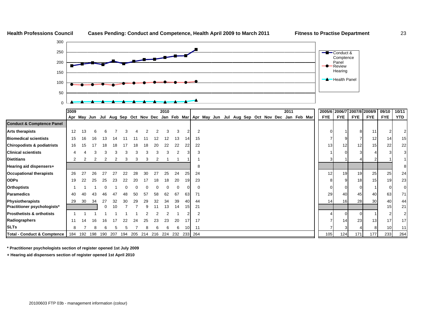

**\* Practitioner psychologists section of register opened 1st July 2009**

**ODPs**

**SLTs**

**+ Hearing aid dispensers section of register opened 1st April 2010**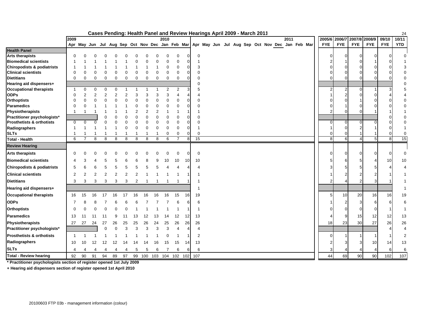|                                       |                         |          |          |          |    |          | Cases Pending: Health Panel and Review Hearings April 2009 - March 2011                         |                |                |         |                |          |     |                |  |  |  |  |      |  |            |            |            |            |                     | 24                       |
|---------------------------------------|-------------------------|----------|----------|----------|----|----------|-------------------------------------------------------------------------------------------------|----------------|----------------|---------|----------------|----------|-----|----------------|--|--|--|--|------|--|------------|------------|------------|------------|---------------------|--------------------------|
|                                       | 2009                    |          |          |          |    |          |                                                                                                 |                |                | 2010    |                |          |     |                |  |  |  |  | 2011 |  | 2005/6     | 2006/7     | 2007/8     | 2008/9     | 09/10               | 10/11                    |
|                                       |                         |          |          |          |    |          | Apr May Jun Jul Aug Sep Oct Nov Dec Jan Feb Mar Apr May Jun Jul Aug Sep Oct Nov Dec Jan Feb Mar |                |                |         |                |          |     |                |  |  |  |  |      |  | <b>FYE</b> | <b>FYE</b> | <b>FYE</b> | <b>FYE</b> | <b>FYE</b>          | YTD                      |
| <b>Health Panel</b>                   |                         |          |          |          |    |          |                                                                                                 |                |                |         |                |          |     |                |  |  |  |  |      |  |            |            |            |            |                     |                          |
| <b>Arts therapists</b>                | $\Omega$                |          |          |          |    |          |                                                                                                 |                |                |         |                |          |     | 0              |  |  |  |  |      |  |            | Ω          | U          |            | $\cup$              | 0                        |
| <b>Biomedical scientists</b>          |                         |          |          |          |    |          |                                                                                                 |                |                |         |                | U        | -1  |                |  |  |  |  |      |  |            |            |            |            |                     |                          |
| <b>Chiropodists &amp; podiatrists</b> | -1                      |          |          |          |    |          |                                                                                                 |                |                |         | 0              | $\Omega$ |     | 3              |  |  |  |  |      |  |            |            |            |            |                     | 3                        |
| <b>Clinical scientists</b>            | $\Omega$                | 0        | U        |          |    | ∩        |                                                                                                 | 0              | 0              |         | $\Omega$       | O        |     | $\Omega$       |  |  |  |  |      |  |            |            |            |            |                     | $\Omega$                 |
| <b>Dietitians</b>                     | $\Omega$                | $\Omega$ | 0        | $\Omega$ | 0  | $\Omega$ | $\Omega$                                                                                        | 0              | 0              | 0       | $\mathbf 0$    | U        |     | $\Omega$       |  |  |  |  |      |  |            |            |            |            |                     | $\mathbf 0$              |
| Hearing aid dispensers+               |                         |          |          |          |    |          |                                                                                                 |                |                |         |                |          |     | ∩              |  |  |  |  |      |  |            |            |            |            |                     | 0                        |
| <b>Occupational therapists</b>        | $\overline{\mathbf{1}}$ | $\Omega$ | $\Omega$ | $\Omega$ |    |          |                                                                                                 |                |                |         | 2              |          |     | 5              |  |  |  |  |      |  |            | 2          | U          |            |                     | 5                        |
| <b>ODPs</b>                           | 0                       | 2        |          |          |    |          | 3                                                                                               | 3              | 3              |         |                |          |     |                |  |  |  |  |      |  |            | 2          |            |            |                     |                          |
| <b>Orthoptists</b>                    | $\mathbf 0$             | 0        |          |          |    |          | $\Omega$                                                                                        | $\Omega$       | 0              |         |                | U        |     | $\Omega$       |  |  |  |  |      |  |            |            |            |            |                     | $\mathbf 0$              |
| <b>Paramedics</b>                     | $\Omega$                | U        |          |          |    |          | $\Omega$                                                                                        | 0              | O              |         |                | U        |     | $\Omega$       |  |  |  |  |      |  |            |            |            |            |                     | 0                        |
| Physiotherapists                      | -1                      |          |          |          |    |          |                                                                                                 | $\overline{2}$ | $\overline{2}$ |         |                |          |     |                |  |  |  |  |      |  |            |            |            |            |                     |                          |
| Practitioner psychologists*           |                         |          |          |          |    |          |                                                                                                 | $\Omega$       | 0              |         |                | O        |     | $\Omega$       |  |  |  |  |      |  |            |            |            |            |                     | 0                        |
| <b>Prosthetists &amp; orthotists</b>  | 0                       | 0        | U        |          |    |          |                                                                                                 | $\Omega$       | 0              |         | 0              | U        |     | $\Omega$       |  |  |  |  |      |  |            |            |            |            |                     | 0                        |
| Radiographers                         | -1                      |          |          |          |    | $\Omega$ | $\Omega$                                                                                        | $\mathbf 0$    | $\Omega$       |         | $\Omega$       | 0        | -1  |                |  |  |  |  |      |  |            |            |            |            |                     |                          |
| <b>SLTs</b>                           |                         |          |          |          |    |          |                                                                                                 |                |                |         | $\Omega$       | C        |     | $\Omega$       |  |  |  |  |      |  |            |            |            |            |                     | 0                        |
| <b>Total - Health</b>                 | 6                       | 7        | 8        | 8        | 8  | 8        | 8                                                                                               | 8              | 8              | 6       | $\overline{7}$ | 8        | 15  |                |  |  |  |  |      |  | 8          | 6          | $\Lambda$  |            | 5 <sup>1</sup><br>8 | 15                       |
| <b>Review Hearing</b>                 |                         |          |          |          |    |          |                                                                                                 |                |                |         |                |          |     |                |  |  |  |  |      |  |            |            |            |            |                     |                          |
| <b>Arts therapists</b>                | $\Omega$                |          |          |          |    |          |                                                                                                 |                |                |         |                |          |     | $\mathbf 0$    |  |  |  |  |      |  |            |            | 0          |            |                     | $\mathbf 0$              |
| <b>Biomedical scientists</b>          | 4                       |          |          |          |    |          |                                                                                                 |                |                | 10      | 10             | 10       | 10  |                |  |  |  |  |      |  |            |            |            |            | 10                  | 10                       |
| <b>Chiropodists &amp; podiatrists</b> | 5                       |          |          |          |    |          |                                                                                                 |                |                |         |                |          |     | $\overline{4}$ |  |  |  |  |      |  |            |            | 5          |            |                     |                          |
| <b>Clinical scientists</b>            | $\overline{2}$          |          |          |          |    |          |                                                                                                 |                |                |         |                |          |     |                |  |  |  |  |      |  |            |            |            |            |                     |                          |
| <b>Dietitians</b>                     | 3                       | 3        | 3        | 3        | 3  | 3        | 2                                                                                               |                |                |         |                |          | -1  |                |  |  |  |  |      |  |            |            |            |            |                     |                          |
| Hearing aid dispensers+               |                         |          |          |          |    |          |                                                                                                 |                |                |         |                |          |     |                |  |  |  |  |      |  |            |            |            |            |                     |                          |
| <b>Occupational therapists</b>        | 16                      | 15       | 16       |          |    |          |                                                                                                 |                |                |         | 15             | 16       | 19  |                |  |  |  |  |      |  | 5          | 10         | 20         | 16         | 16                  | 19                       |
| <b>ODPs</b>                           | 7                       |          |          |          |    |          |                                                                                                 |                |                |         |                |          |     | 6              |  |  |  |  |      |  |            |            | 3          |            | 6<br>F              | 6                        |
| <b>Orthoptists</b>                    | $\Omega$                |          |          |          |    |          |                                                                                                 |                |                |         |                |          | -1  |                |  |  |  |  |      |  |            |            | $\Omega$   |            |                     | -1                       |
| <b>Paramedics</b>                     | 13                      | 11       |          | 11       |    |          | 13                                                                                              |                | 13             |         | 12             | 12       | 13  |                |  |  |  |  |      |  |            | 9          | 15         | 12         | 12                  | 13                       |
| Physiotherapists                      | 27                      | 27       | 24       | 27       | 26 | 25       | 25                                                                                              | 26             | 24             | 25      | 26             | 26       | 26  |                |  |  |  |  |      |  | 18         | 23         | 30         | 27         | 26                  | $26\,$                   |
| Practitioner psychologists*           |                         |          |          |          |    | 3        | 3                                                                                               | 3              | 3              | 3       | 4              | Δ        |     | $\overline{4}$ |  |  |  |  |      |  |            |            |            |            |                     | $\overline{\mathcal{A}}$ |
| <b>Prosthetists &amp; orthotists</b>  | -1                      |          |          |          |    |          |                                                                                                 |                |                |         |                |          |     | $\overline{2}$ |  |  |  |  |      |  |            |            |            |            |                     | $\overline{2}$           |
| Radiographers                         | 10                      | 10       | 12       | 12       | 12 | 14       |                                                                                                 |                | 16             | 15      | 15             | 14       | 13  |                |  |  |  |  |      |  |            |            |            | 10         | 14                  | 13                       |
| <b>SLTs</b>                           | 4                       |          |          |          |    |          | 5                                                                                               | 5              | 6              |         | 6              | 6        |     | 6              |  |  |  |  |      |  |            |            |            |            | 6                   | 6                        |
| <b>Total - Review hearing</b>         | 92                      | 90       | 91       | 94       | 89 | 97       | 99                                                                                              | 100            | 103            | 104 102 |                | 102      | 107 |                |  |  |  |  |      |  | 44         | 69         | 90         | 90         | 102                 | 107                      |

**\* Practitioner psychologists section of register opened 1st July 2009**

**+ Hearing aid dispensers section of register opened 1st April 2010**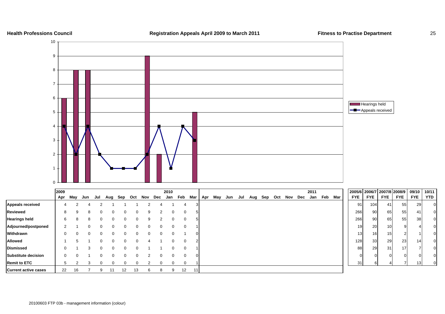

### **Health Professions Council Registration Appeals April 2009 to March 2011 Fitness to Practise Department** 25

 $10/11$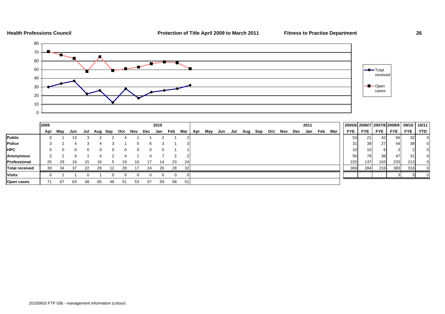



|                       | 2009 |     |     |     |          |     |     |     |     | 2010 |     |           |     |     |     |     |     |     |     |     |     | 2011 |         |     | 2005/6 2006/7 2007/8 2008/9 09/10 |                 |                 |            |            | 10/11      |
|-----------------------|------|-----|-----|-----|----------|-----|-----|-----|-----|------|-----|-----------|-----|-----|-----|-----|-----|-----|-----|-----|-----|------|---------|-----|-----------------------------------|-----------------|-----------------|------------|------------|------------|
|                       | Apr  | May | Jun | Jul | Aug      | Sep | Oct | Nov | Dec | Jan  | Feb | Mar       | Apr | May | Jun | Jul | Aug | Sep | Oct | Nov | Dec |      | Jan Feb | Mar | <b>FYE</b>                        | <b>FYE</b>      | <b>FYE</b>      | <b>FYE</b> | <b>FYE</b> | <b>YTD</b> |
| <b>Public</b>         |      |     |     |     |          |     |     |     |     |      |     |           |     |     |     |     |     |     |     |     |     |      |         |     | 53                                | 21              | 42 <sup>1</sup> | 56         | 32         |            |
| <b>Police</b>         |      |     |     |     |          |     |     |     |     |      |     |           |     |     |     |     |     |     |     |     |     |      |         |     | 31                                | 38 <sup>l</sup> | 271             | 44         | 38         |            |
| <b>HPC</b>            |      |     |     |     | $\Omega$ |     |     | 0   |     |      |     |           |     |     |     |     |     |     |     |     |     |      |         |     | 10 <sub>1</sub>                   | 10              |                 |            |            |            |
| Anonymous             |      |     |     |     |          |     |     |     |     |      |     |           |     |     |     |     |     |     |     |     |     |      |         |     | 50                                | 78              | 38 I            | 47         | 31         |            |
| Professional          | 25   | -29 | 16  | 15  | 16       |     | 19  | 10  | 17  | 14   | 23  | <b>24</b> |     |     |     |     |     |     |     |     |     |      |         |     | 225                               | 137             | 103             | 233        | 213        |            |
| <b>Total received</b> | 30   | 34  | 37  | 22  | 26       | 12  | 28  |     | 24  | 26   | 28  | 32        |     |     |     |     |     |     |     |     |     |      |         |     | 369                               | 284             | 216             | 383        | 316        |            |
| <b>Visits</b>         |      |     |     |     |          |     |     |     |     |      |     |           |     |     |     |     |     |     |     |     |     |      |         |     |                                   |                 |                 |            |            |            |
| Open cases            |      | 67  | 63  | 48  | 65       | 49  | 51  | 53  | 57  | 59   | 58  |           |     |     |     |     |     |     |     |     |     |      |         |     |                                   |                 |                 |            |            |            |